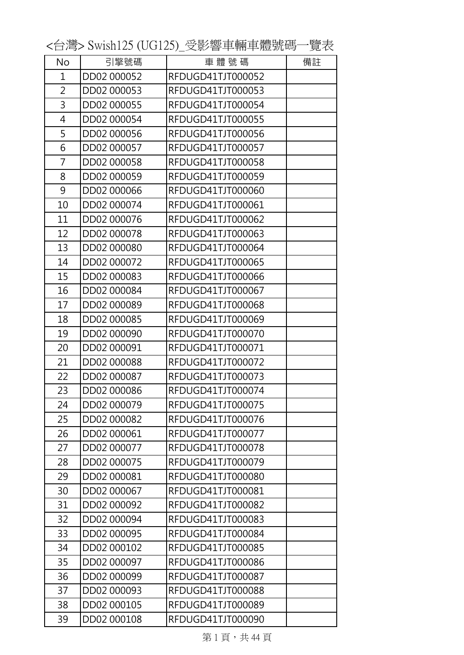No | 引擎號碼 | 車 體 號 碼 | 備註 DD02 000052 RFDUGD41TJT000052 DD02 000053 RFDUGD41TJT000053 DD02 000055 RFDUGD41TJT000054 DD02 000054 RFDUGD41TJT000055 DD02 000056 RFDUGD41TJT000056 DD02 000057 RFDUGD41TJT000057 DD02 000058 RFDUGD41TJT000058 DD02 000059 RFDUGD41TJT000059 DD02 000066 RFDUGD41TJT000060 DD02 000074 RFDUGD41TJT000061 DD02 000076 RFDUGD41TJT000062 DD02 000078 RFDUGD41TJT000063 DD02 000080 RFDUGD41TJT000064 DD02 000072 RFDUGD41TJT000065 DD02 000083 RFDUGD41TJT000066 DD02 000084 RFDUGD41TJT000067 DD02 000089 RFDUGD41TJT000068 DD02 000085 RFDUGD41TJT000069 DD02 000090 RFDUGD41TJT000070 DD02 000091 RFDUGD41TJT000071 DD02 000088 RFDUGD41TJT000072 DD02 000087 RFDUGD41TJT000073 DD02 000086 RFDUGD41TJT000074 DD02 000079 RFDUGD41TJT000075 DD02 000082 RFDUGD41TJT000076 DD02 000061 RFDUGD41TJT000077 DD02 000077 RFDUGD41TJT000078 DD02 000075 RFDUGD41TJT000079 DD02 000081 RFDUGD41TJT000080 DD02 000067 RFDUGD41TJT000081 DD02 000092 RFDUGD41TJT000082 DD02 000094 RFDUGD41TJT000083 DD02 000095 RFDUGD41TJT000084 DD02 000102 RFDUGD41TJT000085 DD02 000097 RFDUGD41TJT000086 DD02 000099 RFDUGD41TJT000087 DD02 000093 RFDUGD41TJT000088 DD02 000105 RFDUGD41TJT000089 DD02 000108 RFDUGD41TJT000090

<台灣> Swish125 (UG125)\_受影響車輛車體號碼一覽表

第1頁,共44頁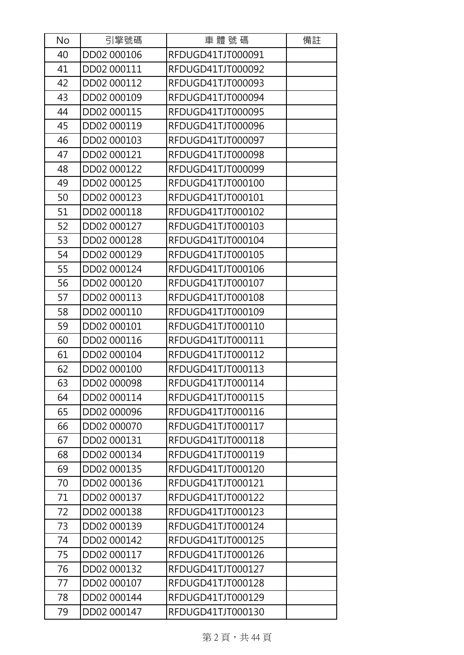| No | 引擎號碼        | 車體號碼              | 備註 |
|----|-------------|-------------------|----|
| 40 | DD02 000106 | RFDUGD41TJT000091 |    |
| 41 | DD02 000111 | RFDUGD41TJT000092 |    |
| 42 | DD02 000112 | RFDUGD41TJT000093 |    |
| 43 | DD02 000109 | RFDUGD41TJT000094 |    |
| 44 | DD02 000115 | RFDUGD41TJT000095 |    |
| 45 | DD02 000119 | RFDUGD41TJT000096 |    |
| 46 | DD02 000103 | RFDUGD41TJT000097 |    |
| 47 | DD02 000121 | RFDUGD41TJT000098 |    |
| 48 | DD02 000122 | RFDUGD41TJT000099 |    |
| 49 | DD02 000125 | RFDUGD41TJT000100 |    |
| 50 | DD02 000123 | RFDUGD41TJT000101 |    |
| 51 | DD02 000118 | RFDUGD41TJT000102 |    |
| 52 | DD02 000127 | RFDUGD41TJT000103 |    |
| 53 | DD02 000128 | RFDUGD41TJT000104 |    |
| 54 | DD02 000129 | RFDUGD41TJT000105 |    |
| 55 | DD02 000124 | RFDUGD41TJT000106 |    |
| 56 | DD02 000120 | RFDUGD41TJT000107 |    |
| 57 | DD02 000113 | RFDUGD41TJT000108 |    |
| 58 | DD02 000110 | RFDUGD41TJT000109 |    |
| 59 | DD02 000101 | RFDUGD41TJT000110 |    |
| 60 | DD02 000116 | RFDUGD41TJT000111 |    |
| 61 | DD02 000104 | RFDUGD41TJT000112 |    |
| 62 | DD02 000100 | RFDUGD41TJT000113 |    |
| 63 | DD02 000098 | RFDUGD41TJT000114 |    |
| 64 | DD02 000114 | RFDUGD41TJT000115 |    |
| 65 | DD02 000096 | RFDUGD41TJT000116 |    |
| 66 | DD02 000070 | RFDUGD41TJT000117 |    |
| 67 | DD02 000131 | RFDUGD41TJT000118 |    |
| 68 | DD02 000134 | RFDUGD41TJT000119 |    |
| 69 | DD02 000135 | RFDUGD41TJT000120 |    |
| 70 | DD02 000136 | RFDUGD41TJT000121 |    |
| 71 | DD02 000137 | RFDUGD41TJT000122 |    |
| 72 | DD02 000138 | RFDUGD41TJT000123 |    |
| 73 | DD02 000139 | RFDUGD41TJT000124 |    |
| 74 | DD02 000142 | RFDUGD41TJT000125 |    |
| 75 | DD02 000117 | RFDUGD41TJT000126 |    |
| 76 | DD02 000132 | RFDUGD41TJT000127 |    |
| 77 | DD02 000107 | RFDUGD41TJT000128 |    |
| 78 | DD02 000144 | RFDUGD41TJT000129 |    |
| 79 | DD02 000147 | RFDUGD41TJT000130 |    |

第 2 頁,共44 頁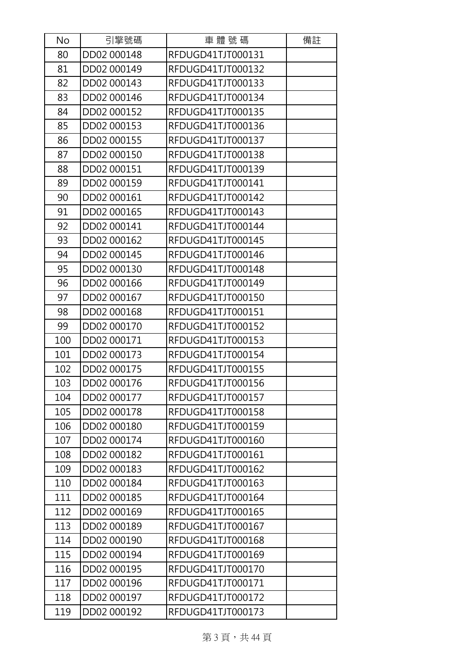| No  | 引擎號碼        | 車體號碼              | 備註 |
|-----|-------------|-------------------|----|
| 80  | DD02 000148 | RFDUGD41TJT000131 |    |
| 81  | DD02 000149 | RFDUGD41TJT000132 |    |
| 82  | DD02 000143 | RFDUGD41TJT000133 |    |
| 83  | DD02 000146 | RFDUGD41TJT000134 |    |
| 84  | DD02 000152 | RFDUGD41TJT000135 |    |
| 85  | DD02 000153 | RFDUGD41TJT000136 |    |
| 86  | DD02 000155 | RFDUGD41TJT000137 |    |
| 87  | DD02 000150 | RFDUGD41TJT000138 |    |
| 88  | DD02 000151 | RFDUGD41TJT000139 |    |
| 89  | DD02 000159 | RFDUGD41TJT000141 |    |
| 90  | DD02 000161 | RFDUGD41TJT000142 |    |
| 91  | DD02 000165 | RFDUGD41TJT000143 |    |
| 92  | DD02 000141 | RFDUGD41TJT000144 |    |
| 93  | DD02 000162 | RFDUGD41TJT000145 |    |
| 94  | DD02 000145 | RFDUGD41TJT000146 |    |
| 95  | DD02 000130 | RFDUGD41TJT000148 |    |
| 96  | DD02 000166 | RFDUGD41TJT000149 |    |
| 97  | DD02 000167 | RFDUGD41TJT000150 |    |
| 98  | DD02 000168 | RFDUGD41TJT000151 |    |
| 99  | DD02 000170 | RFDUGD41TJT000152 |    |
| 100 | DD02 000171 | RFDUGD41TJT000153 |    |
| 101 | DD02 000173 | RFDUGD41TJT000154 |    |
| 102 | DD02 000175 | RFDUGD41TJT000155 |    |
| 103 | DD02 000176 | RFDUGD41TJT000156 |    |
| 104 | DD02 000177 | RFDUGD41TJT000157 |    |
| 105 | DD02 000178 | RFDUGD41TJT000158 |    |
| 106 | DD02 000180 | RFDUGD41TJT000159 |    |
| 107 | DD02 000174 | RFDUGD41TJT000160 |    |
| 108 | DD02 000182 | RFDUGD41TJT000161 |    |
| 109 | DD02 000183 | RFDUGD41TJT000162 |    |
| 110 | DD02 000184 | RFDUGD41TJT000163 |    |
| 111 | DD02 000185 | RFDUGD41TJT000164 |    |
| 112 | DD02 000169 | RFDUGD41TJT000165 |    |
| 113 | DD02 000189 | RFDUGD41TJT000167 |    |
| 114 | DD02 000190 | RFDUGD41TJT000168 |    |
| 115 | DD02 000194 | RFDUGD41TJT000169 |    |
| 116 | DD02 000195 | RFDUGD41TJT000170 |    |
| 117 | DD02 000196 | RFDUGD41TJT000171 |    |
| 118 | DD02 000197 | RFDUGD41TJT000172 |    |
| 119 | DD02 000192 | RFDUGD41TJT000173 |    |

第3頁,共44頁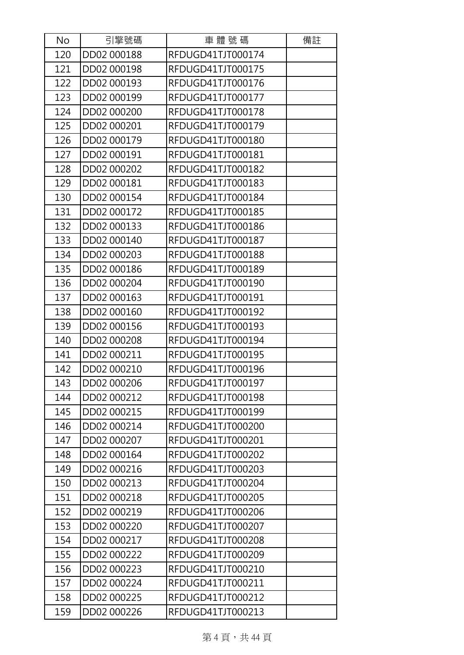| No  | 引擎號碼        | 車體號碼              | 備註 |
|-----|-------------|-------------------|----|
| 120 | DD02 000188 | RFDUGD41TJT000174 |    |
| 121 | DD02 000198 | RFDUGD41TJT000175 |    |
| 122 | DD02 000193 | RFDUGD41TJT000176 |    |
| 123 | DD02 000199 | RFDUGD41TJT000177 |    |
| 124 | DD02 000200 | RFDUGD41TJT000178 |    |
| 125 | DD02 000201 | RFDUGD41TJT000179 |    |
| 126 | DD02 000179 | RFDUGD41TJT000180 |    |
| 127 | DD02 000191 | RFDUGD41TJT000181 |    |
| 128 | DD02 000202 | RFDUGD41TJT000182 |    |
| 129 | DD02 000181 | RFDUGD41TJT000183 |    |
| 130 | DD02 000154 | RFDUGD41TJT000184 |    |
| 131 | DD02 000172 | RFDUGD41TJT000185 |    |
| 132 | DD02 000133 | RFDUGD41TJT000186 |    |
| 133 | DD02 000140 | RFDUGD41TJT000187 |    |
| 134 | DD02 000203 | RFDUGD41TJT000188 |    |
| 135 | DD02 000186 | RFDUGD41TJT000189 |    |
| 136 | DD02 000204 | RFDUGD41TJT000190 |    |
| 137 | DD02 000163 | RFDUGD41TJT000191 |    |
| 138 | DD02 000160 | RFDUGD41TJT000192 |    |
| 139 | DD02 000156 | RFDUGD41TJT000193 |    |
| 140 | DD02 000208 | RFDUGD41TJT000194 |    |
| 141 | DD02 000211 | RFDUGD41TJT000195 |    |
| 142 | DD02 000210 | RFDUGD41TJT000196 |    |
| 143 | DD02 000206 | RFDUGD41TJT000197 |    |
| 144 | DD02 000212 | RFDUGD41TJT000198 |    |
| 145 | DD02 000215 | RFDUGD41TJT000199 |    |
| 146 | DD02 000214 | RFDUGD41TJT000200 |    |
| 147 | DD02 000207 | RFDUGD41TJT000201 |    |
| 148 | DD02 000164 | RFDUGD41TJT000202 |    |
| 149 | DD02 000216 | RFDUGD41TJT000203 |    |
| 150 | DD02 000213 | RFDUGD41TJT000204 |    |
| 151 | DD02 000218 | RFDUGD41TJT000205 |    |
| 152 | DD02 000219 | RFDUGD41TJT000206 |    |
| 153 | DD02 000220 | RFDUGD41TJT000207 |    |
| 154 | DD02 000217 | RFDUGD41TJT000208 |    |
| 155 | DD02 000222 | RFDUGD41TJT000209 |    |
| 156 | DD02 000223 | RFDUGD41TJT000210 |    |
| 157 | DD02 000224 | RFDUGD41TJT000211 |    |
| 158 | DD02 000225 | RFDUGD41TJT000212 |    |
| 159 | DD02 000226 | RFDUGD41TJT000213 |    |

第4頁,共44頁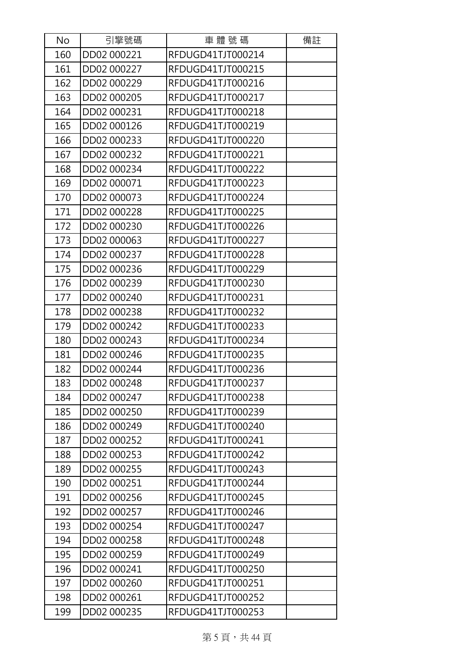| No  | 引擎號碼        | 車體號碼              | 備註 |
|-----|-------------|-------------------|----|
| 160 | DD02 000221 | RFDUGD41TJT000214 |    |
| 161 | DD02 000227 | RFDUGD41TJT000215 |    |
| 162 | DD02 000229 | RFDUGD41TJT000216 |    |
| 163 | DD02 000205 | RFDUGD41TJT000217 |    |
| 164 | DD02 000231 | RFDUGD41TJT000218 |    |
| 165 | DD02 000126 | RFDUGD41TJT000219 |    |
| 166 | DD02 000233 | RFDUGD41TJT000220 |    |
| 167 | DD02 000232 | RFDUGD41TJT000221 |    |
| 168 | DD02 000234 | RFDUGD41TJT000222 |    |
| 169 | DD02 000071 | RFDUGD41TJT000223 |    |
| 170 | DD02 000073 | RFDUGD41TJT000224 |    |
| 171 | DD02 000228 | RFDUGD41TJT000225 |    |
| 172 | DD02 000230 | RFDUGD41TJT000226 |    |
| 173 | DD02 000063 | RFDUGD41TJT000227 |    |
| 174 | DD02 000237 | RFDUGD41TJT000228 |    |
| 175 | DD02 000236 | RFDUGD41TJT000229 |    |
| 176 | DD02 000239 | RFDUGD41TJT000230 |    |
| 177 | DD02 000240 | RFDUGD41TJT000231 |    |
| 178 | DD02 000238 | RFDUGD41TJT000232 |    |
| 179 | DD02 000242 | RFDUGD41TJT000233 |    |
| 180 | DD02 000243 | RFDUGD41TJT000234 |    |
| 181 | DD02 000246 | RFDUGD41TJT000235 |    |
| 182 | DD02 000244 | RFDUGD41TJT000236 |    |
| 183 | DD02 000248 | RFDUGD41TJT000237 |    |
| 184 | DD02 000247 | RFDUGD41TJT000238 |    |
| 185 | DD02 000250 | RFDUGD41TJT000239 |    |
| 186 | DD02 000249 | RFDUGD41TJT000240 |    |
| 187 | DD02 000252 | RFDUGD41TJT000241 |    |
| 188 | DD02 000253 | RFDUGD41TJT000242 |    |
| 189 | DD02 000255 | RFDUGD41TJT000243 |    |
| 190 | DD02 000251 | RFDUGD41TJT000244 |    |
| 191 | DD02 000256 | RFDUGD41TJT000245 |    |
| 192 | DD02 000257 | RFDUGD41TJT000246 |    |
| 193 | DD02 000254 | RFDUGD41TJT000247 |    |
| 194 | DD02 000258 | RFDUGD41TJT000248 |    |
| 195 | DD02 000259 | RFDUGD41TJT000249 |    |
| 196 | DD02 000241 | RFDUGD41TJT000250 |    |
| 197 | DD02 000260 | RFDUGD41TJT000251 |    |
| 198 | DD02 000261 | RFDUGD41TJT000252 |    |
| 199 | DD02 000235 | RFDUGD41TJT000253 |    |

第 5 頁, 共44 頁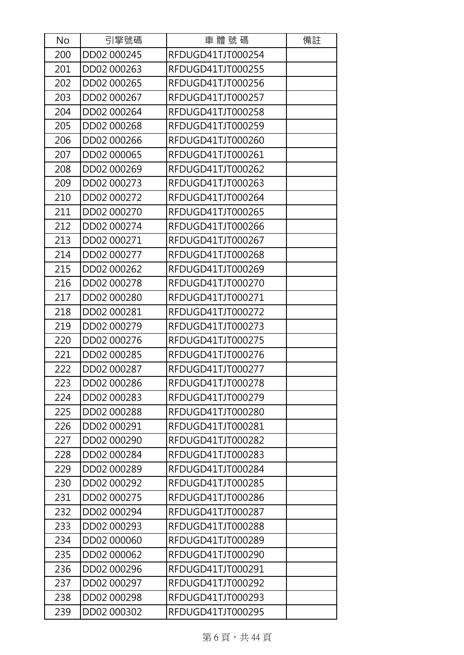| <b>No</b> | 引擎號碼        | 車 體 號 碼           | 備註 |
|-----------|-------------|-------------------|----|
| 200       | DD02 000245 | RFDUGD41TJT000254 |    |
| 201       | DD02 000263 | RFDUGD41TJT000255 |    |
| 202       | DD02 000265 | RFDUGD41TJT000256 |    |
| 203       | DD02 000267 | RFDUGD41TJT000257 |    |
| 204       | DD02 000264 | RFDUGD41TJT000258 |    |
| 205       | DD02 000268 | RFDUGD41TJT000259 |    |
| 206       | DD02 000266 | RFDUGD41TJT000260 |    |
| 207       | DD02 000065 | RFDUGD41TJT000261 |    |
| 208       | DD02 000269 | RFDUGD41TJT000262 |    |
| 209       | DD02 000273 | RFDUGD41TJT000263 |    |
| 210       | DD02 000272 | RFDUGD41TJT000264 |    |
| 211       | DD02 000270 | RFDUGD41TJT000265 |    |
| 212       | DD02 000274 | RFDUGD41TJT000266 |    |
| 213       | DD02 000271 | RFDUGD41TJT000267 |    |
| 214       | DD02 000277 | RFDUGD41TJT000268 |    |
| 215       | DD02 000262 | RFDUGD41TJT000269 |    |
| 216       | DD02 000278 | RFDUGD41TJT000270 |    |
| 217       | DD02 000280 | RFDUGD41TJT000271 |    |
| 218       | DD02 000281 | RFDUGD41TJT000272 |    |
| 219       | DD02 000279 | RFDUGD41TJT000273 |    |
| 220       | DD02 000276 | RFDUGD41TJT000275 |    |
| 221       | DD02 000285 | RFDUGD41TJT000276 |    |
| 222       | DD02 000287 | RFDUGD41TJT000277 |    |
| 223       | DD02 000286 | RFDUGD41TJT000278 |    |
| 224       | DD02 000283 | RFDUGD41TJT000279 |    |
| 225       | DD02 000288 | RFDUGD41TJT000280 |    |
| 226       | DD02 000291 | RFDUGD41TJT000281 |    |
| 227       | DD02 000290 | RFDUGD41TJT000282 |    |
| 228       | DD02 000284 | RFDUGD41TJT000283 |    |
| 229       | DD02 000289 | RFDUGD41TJT000284 |    |
| 230       | DD02 000292 | RFDUGD41TJT000285 |    |
| 231       | DD02 000275 | RFDUGD41TJT000286 |    |
| 232       | DD02 000294 | RFDUGD41TJT000287 |    |
| 233       | DD02 000293 | RFDUGD41TJT000288 |    |
| 234       | DD02 000060 | RFDUGD41TJT000289 |    |
| 235       | DD02 000062 | RFDUGD41TJT000290 |    |
| 236       | DD02 000296 | RFDUGD41TJT000291 |    |
| 237       | DD02 000297 | RFDUGD41TJT000292 |    |
| 238       | DD02 000298 | RFDUGD41TJT000293 |    |
| 239       | DD02 000302 | RFDUGD41TJT000295 |    |

第6頁,共44頁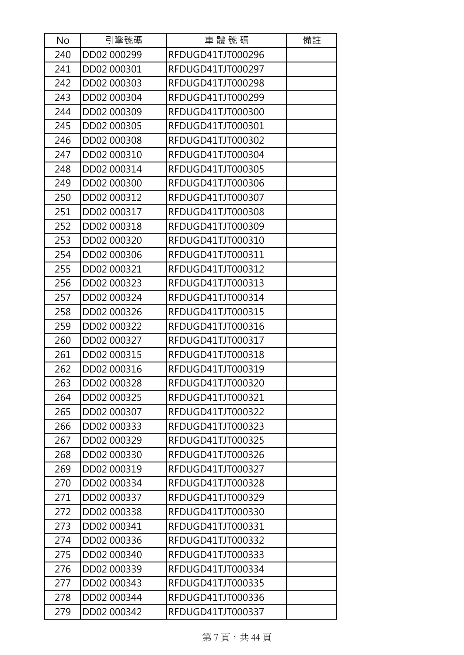| No  | 引擎號碼        | 車體號碼              | 備註 |
|-----|-------------|-------------------|----|
| 240 | DD02 000299 | RFDUGD41TJT000296 |    |
| 241 | DD02 000301 | RFDUGD41TJT000297 |    |
| 242 | DD02 000303 | RFDUGD41TJT000298 |    |
| 243 | DD02 000304 | RFDUGD41TJT000299 |    |
| 244 | DD02 000309 | RFDUGD41TJT000300 |    |
| 245 | DD02 000305 | RFDUGD41TJT000301 |    |
| 246 | DD02 000308 | RFDUGD41TJT000302 |    |
| 247 | DD02 000310 | RFDUGD41TJT000304 |    |
| 248 | DD02 000314 | RFDUGD41TJT000305 |    |
| 249 | DD02 000300 | RFDUGD41TJT000306 |    |
| 250 | DD02 000312 | RFDUGD41TJT000307 |    |
| 251 | DD02 000317 | RFDUGD41TJT000308 |    |
| 252 | DD02 000318 | RFDUGD41TJT000309 |    |
| 253 | DD02 000320 | RFDUGD41TJT000310 |    |
| 254 | DD02 000306 | RFDUGD41TJT000311 |    |
| 255 | DD02 000321 | RFDUGD41TJT000312 |    |
| 256 | DD02 000323 | RFDUGD41TJT000313 |    |
| 257 | DD02 000324 | RFDUGD41TJT000314 |    |
| 258 | DD02 000326 | RFDUGD41TJT000315 |    |
| 259 | DD02 000322 | RFDUGD41TJT000316 |    |
| 260 | DD02 000327 | RFDUGD41TJT000317 |    |
| 261 | DD02 000315 | RFDUGD41TJT000318 |    |
| 262 | DD02 000316 | RFDUGD41TJT000319 |    |
| 263 | DD02 000328 | RFDUGD41TJT000320 |    |
| 264 | DD02 000325 | RFDUGD41TJT000321 |    |
| 265 | DD02 000307 | RFDUGD41TJT000322 |    |
| 266 | DD02 000333 | RFDUGD41TJT000323 |    |
| 267 | DD02 000329 | RFDUGD41TJT000325 |    |
| 268 | DD02 000330 | RFDUGD41TJT000326 |    |
| 269 | DD02 000319 | RFDUGD41TJT000327 |    |
| 270 | DD02 000334 | RFDUGD41TJT000328 |    |
| 271 | DD02 000337 | RFDUGD41TJT000329 |    |
| 272 | DD02 000338 | RFDUGD41TJT000330 |    |
| 273 | DD02 000341 | RFDUGD41TJT000331 |    |
| 274 | DD02 000336 | RFDUGD41TJT000332 |    |
| 275 | DD02 000340 | RFDUGD41TJT000333 |    |
| 276 | DD02 000339 | RFDUGD41TJT000334 |    |
| 277 | DD02 000343 | RFDUGD41TJT000335 |    |
| 278 | DD02 000344 | RFDUGD41TJT000336 |    |
| 279 | DD02 000342 | RFDUGD41TJT000337 |    |

第7頁,共44頁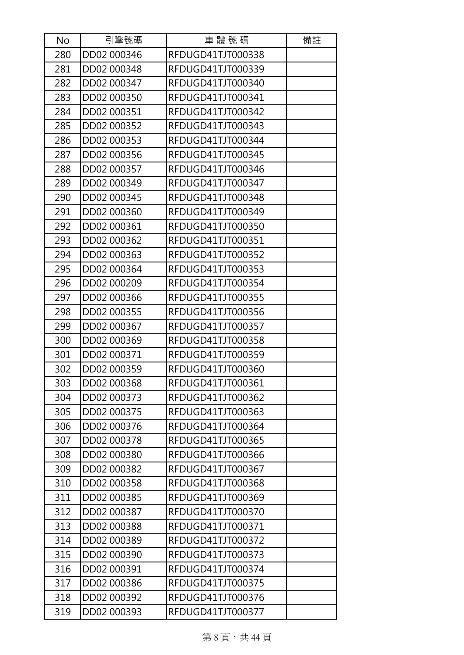| No  | 引擎號碼        | 車體號碼              | 備註 |
|-----|-------------|-------------------|----|
| 280 | DD02 000346 | RFDUGD41TJT000338 |    |
| 281 | DD02 000348 | RFDUGD41TJT000339 |    |
| 282 | DD02 000347 | RFDUGD41TJT000340 |    |
| 283 | DD02 000350 | RFDUGD41TJT000341 |    |
| 284 | DD02 000351 | RFDUGD41TJT000342 |    |
| 285 | DD02 000352 | RFDUGD41TJT000343 |    |
| 286 | DD02 000353 | RFDUGD41TJT000344 |    |
| 287 | DD02 000356 | RFDUGD41TJT000345 |    |
| 288 | DD02 000357 | RFDUGD41TJT000346 |    |
| 289 | DD02 000349 | RFDUGD41TJT000347 |    |
| 290 | DD02 000345 | RFDUGD41TJT000348 |    |
| 291 | DD02 000360 | RFDUGD41TJT000349 |    |
| 292 | DD02 000361 | RFDUGD41TJT000350 |    |
| 293 | DD02 000362 | RFDUGD41TJT000351 |    |
| 294 | DD02 000363 | RFDUGD41TJT000352 |    |
| 295 | DD02 000364 | RFDUGD41TJT000353 |    |
| 296 | DD02 000209 | RFDUGD41TJT000354 |    |
| 297 | DD02 000366 | RFDUGD41TJT000355 |    |
| 298 | DD02 000355 | RFDUGD41TJT000356 |    |
| 299 | DD02 000367 | RFDUGD41TJT000357 |    |
| 300 | DD02 000369 | RFDUGD41TJT000358 |    |
| 301 | DD02 000371 | RFDUGD41TJT000359 |    |
| 302 | DD02 000359 | RFDUGD41TJT000360 |    |
| 303 | DD02 000368 | RFDUGD41TJT000361 |    |
| 304 | DD02 000373 | RFDUGD41TJT000362 |    |
| 305 | DD02 000375 | RFDUGD41TJT000363 |    |
| 306 | DD02 000376 | RFDUGD41TJT000364 |    |
| 307 | DD02 000378 | RFDUGD41TJT000365 |    |
| 308 | DD02 000380 | RFDUGD41TJT000366 |    |
| 309 | DD02 000382 | RFDUGD41TJT000367 |    |
| 310 | DD02 000358 | RFDUGD41TJT000368 |    |
| 311 | DD02 000385 | RFDUGD41TJT000369 |    |
| 312 | DD02 000387 | RFDUGD41TJT000370 |    |
| 313 | DD02 000388 | RFDUGD41TJT000371 |    |
| 314 | DD02 000389 | RFDUGD41TJT000372 |    |
| 315 | DD02 000390 | RFDUGD41TJT000373 |    |
| 316 | DD02 000391 | RFDUGD41TJT000374 |    |
| 317 | DD02 000386 | RFDUGD41TJT000375 |    |
| 318 | DD02 000392 | RFDUGD41TJT000376 |    |
| 319 | DD02 000393 | RFDUGD41TJT000377 |    |

第8頁,共44頁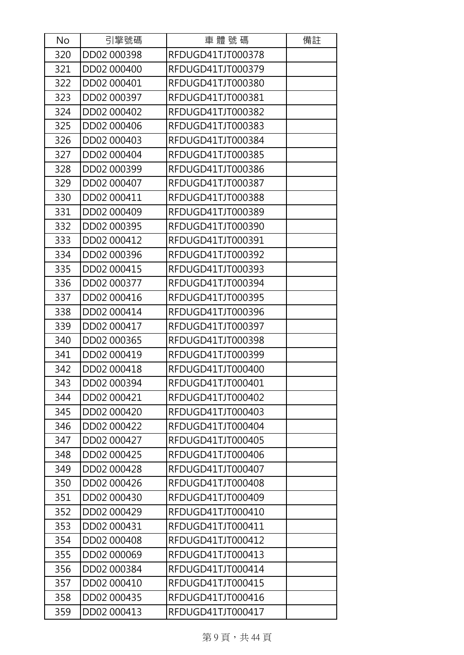| No  | 引擎號碼        | 車體號碼              | 備註 |
|-----|-------------|-------------------|----|
| 320 | DD02 000398 | RFDUGD41TJT000378 |    |
| 321 | DD02 000400 | RFDUGD41TJT000379 |    |
| 322 | DD02 000401 | RFDUGD41TJT000380 |    |
| 323 | DD02 000397 | RFDUGD41TJT000381 |    |
| 324 | DD02 000402 | RFDUGD41TJT000382 |    |
| 325 | DD02 000406 | RFDUGD41TJT000383 |    |
| 326 | DD02 000403 | RFDUGD41TJT000384 |    |
| 327 | DD02 000404 | RFDUGD41TJT000385 |    |
| 328 | DD02 000399 | RFDUGD41TJT000386 |    |
| 329 | DD02 000407 | RFDUGD41TJT000387 |    |
| 330 | DD02 000411 | RFDUGD41TJT000388 |    |
| 331 | DD02 000409 | RFDUGD41TJT000389 |    |
| 332 | DD02 000395 | RFDUGD41TJT000390 |    |
| 333 | DD02 000412 | RFDUGD41TJT000391 |    |
| 334 | DD02 000396 | RFDUGD41TJT000392 |    |
| 335 | DD02 000415 | RFDUGD41TJT000393 |    |
| 336 | DD02 000377 | RFDUGD41TJT000394 |    |
| 337 | DD02 000416 | RFDUGD41TJT000395 |    |
| 338 | DD02 000414 | RFDUGD41TJT000396 |    |
| 339 | DD02 000417 | RFDUGD41TJT000397 |    |
| 340 | DD02 000365 | RFDUGD41TJT000398 |    |
| 341 | DD02 000419 | RFDUGD41TJT000399 |    |
| 342 | DD02 000418 | RFDUGD41TJT000400 |    |
| 343 | DD02 000394 | RFDUGD41TJT000401 |    |
| 344 | DD02 000421 | RFDUGD41TJT000402 |    |
| 345 | DD02 000420 | RFDUGD41TJT000403 |    |
| 346 | DD02 000422 | RFDUGD41TJT000404 |    |
| 347 | DD02 000427 | RFDUGD41TJT000405 |    |
| 348 | DD02 000425 | RFDUGD41TJT000406 |    |
| 349 | DD02 000428 | RFDUGD41TJT000407 |    |
| 350 | DD02 000426 | RFDUGD41TJT000408 |    |
| 351 | DD02 000430 | RFDUGD41TJT000409 |    |
| 352 | DD02 000429 | RFDUGD41TJT000410 |    |
| 353 | DD02 000431 | RFDUGD41TJT000411 |    |
| 354 | DD02 000408 | RFDUGD41TJT000412 |    |
| 355 | DD02 000069 | RFDUGD41TJT000413 |    |
| 356 | DD02 000384 | RFDUGD41TJT000414 |    |
| 357 | DD02 000410 | RFDUGD41TJT000415 |    |
| 358 | DD02 000435 | RFDUGD41TJT000416 |    |
| 359 | DD02 000413 | RFDUGD41TJT000417 |    |

第9頁,共44頁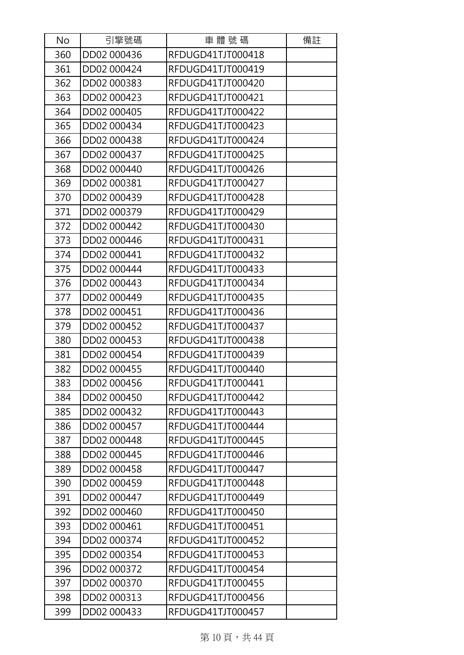| No  | 引擎號碼        | 車體號碼              | 備註 |
|-----|-------------|-------------------|----|
| 360 | DD02 000436 | RFDUGD41TJT000418 |    |
| 361 | DD02 000424 | RFDUGD41TJT000419 |    |
| 362 | DD02 000383 | RFDUGD41TJT000420 |    |
| 363 | DD02 000423 | RFDUGD41TJT000421 |    |
| 364 | DD02 000405 | RFDUGD41TJT000422 |    |
| 365 | DD02 000434 | RFDUGD41TJT000423 |    |
| 366 | DD02 000438 | RFDUGD41TJT000424 |    |
| 367 | DD02 000437 | RFDUGD41TJT000425 |    |
| 368 | DD02 000440 | RFDUGD41TJT000426 |    |
| 369 | DD02 000381 | RFDUGD41TJT000427 |    |
| 370 | DD02 000439 | RFDUGD41TJT000428 |    |
| 371 | DD02 000379 | RFDUGD41TJT000429 |    |
| 372 | DD02 000442 | RFDUGD41TJT000430 |    |
| 373 | DD02 000446 | RFDUGD41TJT000431 |    |
| 374 | DD02 000441 | RFDUGD41TJT000432 |    |
| 375 | DD02 000444 | RFDUGD41TJT000433 |    |
| 376 | DD02 000443 | RFDUGD41TJT000434 |    |
| 377 | DD02 000449 | RFDUGD41TJT000435 |    |
| 378 | DD02 000451 | RFDUGD41TJT000436 |    |
| 379 | DD02 000452 | RFDUGD41TJT000437 |    |
| 380 | DD02 000453 | RFDUGD41TJT000438 |    |
| 381 | DD02 000454 | RFDUGD41TJT000439 |    |
| 382 | DD02 000455 | RFDUGD41TJT000440 |    |
| 383 | DD02 000456 | RFDUGD41TJT000441 |    |
| 384 | DD02 000450 | RFDUGD41TJT000442 |    |
| 385 | DD02 000432 | RFDUGD41TJT000443 |    |
| 386 | DD02 000457 | RFDUGD41TJT000444 |    |
| 387 | DD02 000448 | RFDUGD41TJT000445 |    |
| 388 | DD02 000445 | RFDUGD41TJT000446 |    |
| 389 | DD02 000458 | RFDUGD41TJT000447 |    |
| 390 | DD02 000459 | RFDUGD41TJT000448 |    |
| 391 | DD02 000447 | RFDUGD41TJT000449 |    |
| 392 | DD02 000460 | RFDUGD41TJT000450 |    |
| 393 | DD02 000461 | RFDUGD41TJT000451 |    |
| 394 | DD02 000374 | RFDUGD41TJT000452 |    |
| 395 | DD02 000354 | RFDUGD41TJT000453 |    |
| 396 | DD02 000372 | RFDUGD41TJT000454 |    |
| 397 | DD02 000370 | RFDUGD41TJT000455 |    |
| 398 | DD02 000313 | RFDUGD41TJT000456 |    |
| 399 | DD02 000433 | RFDUGD41TJT000457 |    |

第10頁,共44頁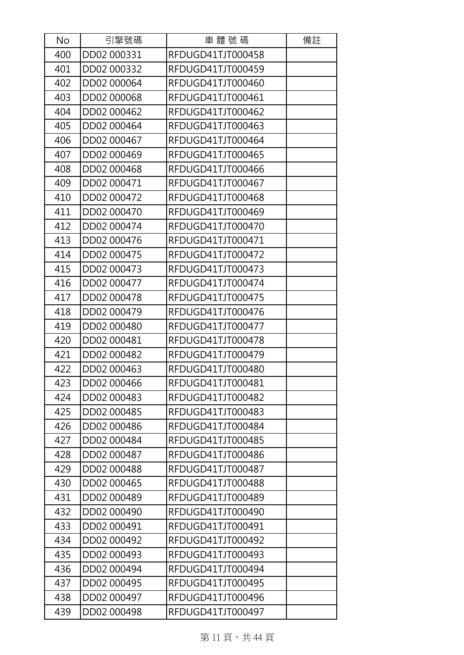| No  | 引擎號碼        | 車體號碼              | 備註 |
|-----|-------------|-------------------|----|
| 400 | DD02 000331 | RFDUGD41TJT000458 |    |
| 401 | DD02 000332 | RFDUGD41TJT000459 |    |
| 402 | DD02 000064 | RFDUGD41TJT000460 |    |
| 403 | DD02 000068 | RFDUGD41TJT000461 |    |
| 404 | DD02 000462 | RFDUGD41TJT000462 |    |
| 405 | DD02 000464 | RFDUGD41TJT000463 |    |
| 406 | DD02 000467 | RFDUGD41TJT000464 |    |
| 407 | DD02 000469 | RFDUGD41TJT000465 |    |
| 408 | DD02 000468 | RFDUGD41TJT000466 |    |
| 409 | DD02 000471 | RFDUGD41TJT000467 |    |
| 410 | DD02 000472 | RFDUGD41TJT000468 |    |
| 411 | DD02 000470 | RFDUGD41TJT000469 |    |
| 412 | DD02 000474 | RFDUGD41TJT000470 |    |
| 413 | DD02 000476 | RFDUGD41TJT000471 |    |
| 414 | DD02 000475 | RFDUGD41TJT000472 |    |
| 415 | DD02 000473 | RFDUGD41TJT000473 |    |
| 416 | DD02 000477 | RFDUGD41TJT000474 |    |
| 417 | DD02 000478 | RFDUGD41TJT000475 |    |
| 418 | DD02 000479 | RFDUGD41TJT000476 |    |
| 419 | DD02 000480 | RFDUGD41TJT000477 |    |
| 420 | DD02 000481 | RFDUGD41TJT000478 |    |
| 421 | DD02 000482 | RFDUGD41TJT000479 |    |
| 422 | DD02 000463 | RFDUGD41TJT000480 |    |
| 423 | DD02 000466 | RFDUGD41TJT000481 |    |
| 424 | DD02 000483 | RFDUGD41TJT000482 |    |
| 425 | DD02 000485 | RFDUGD41TJT000483 |    |
| 426 | DD02 000486 | RFDUGD41TJT000484 |    |
| 427 | DD02 000484 | RFDUGD41TJT000485 |    |
| 428 | DD02 000487 | RFDUGD41TJT000486 |    |
| 429 | DD02 000488 | RFDUGD41TJT000487 |    |
| 430 | DD02 000465 | RFDUGD41TJT000488 |    |
| 431 | DD02 000489 | RFDUGD41TJT000489 |    |
| 432 | DD02 000490 | RFDUGD41TJT000490 |    |
| 433 | DD02 000491 | RFDUGD41TJT000491 |    |
| 434 | DD02 000492 | RFDUGD41TJT000492 |    |
| 435 | DD02 000493 | RFDUGD41TJT000493 |    |
| 436 | DD02 000494 | RFDUGD41TJT000494 |    |
| 437 | DD02 000495 | RFDUGD41TJT000495 |    |
| 438 | DD02 000497 | RFDUGD41TJT000496 |    |
| 439 | DD02 000498 | RFDUGD41TJT000497 |    |

第11頁,共44頁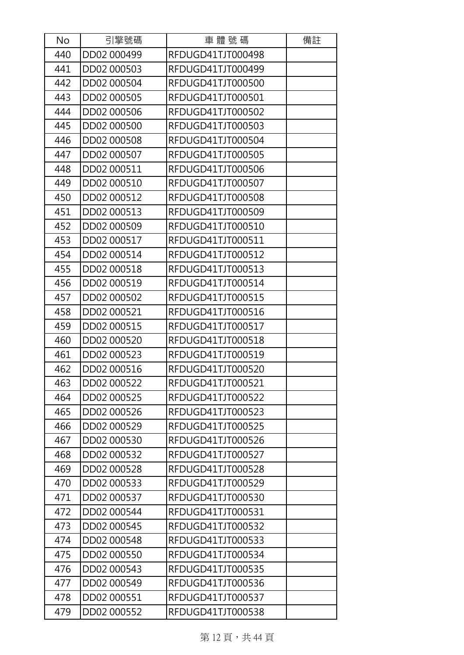| No  | 引擎號碼        | 車體號碼              | 備註 |
|-----|-------------|-------------------|----|
| 440 | DD02 000499 | RFDUGD41TJT000498 |    |
| 441 | DD02 000503 | RFDUGD41TJT000499 |    |
| 442 | DD02 000504 | RFDUGD41TJT000500 |    |
| 443 | DD02 000505 | RFDUGD41TJT000501 |    |
| 444 | DD02 000506 | RFDUGD41TJT000502 |    |
| 445 | DD02 000500 | RFDUGD41TJT000503 |    |
| 446 | DD02 000508 | RFDUGD41TJT000504 |    |
| 447 | DD02 000507 | RFDUGD41TJT000505 |    |
| 448 | DD02 000511 | RFDUGD41TJT000506 |    |
| 449 | DD02 000510 | RFDUGD41TJT000507 |    |
| 450 | DD02 000512 | RFDUGD41TJT000508 |    |
| 451 | DD02 000513 | RFDUGD41TJT000509 |    |
| 452 | DD02 000509 | RFDUGD41TJT000510 |    |
| 453 | DD02 000517 | RFDUGD41TJT000511 |    |
| 454 | DD02 000514 | RFDUGD41TJT000512 |    |
| 455 | DD02 000518 | RFDUGD41TJT000513 |    |
| 456 | DD02 000519 | RFDUGD41TJT000514 |    |
| 457 | DD02 000502 | RFDUGD41TJT000515 |    |
| 458 | DD02 000521 | RFDUGD41TJT000516 |    |
| 459 | DD02 000515 | RFDUGD41TJT000517 |    |
| 460 | DD02 000520 | RFDUGD41TJT000518 |    |
| 461 | DD02 000523 | RFDUGD41TJT000519 |    |
| 462 | DD02 000516 | RFDUGD41TJT000520 |    |
| 463 | DD02 000522 | RFDUGD41TJT000521 |    |
| 464 | DD02 000525 | RFDUGD41TJT000522 |    |
| 465 | DD02 000526 | RFDUGD41TJT000523 |    |
| 466 | DD02 000529 | RFDUGD41TJT000525 |    |
| 467 | DD02 000530 | RFDUGD41TJT000526 |    |
| 468 | DD02 000532 | RFDUGD41TJT000527 |    |
| 469 | DD02 000528 | RFDUGD41TJT000528 |    |
| 470 | DD02 000533 | RFDUGD41TJT000529 |    |
| 471 | DD02 000537 | RFDUGD41TJT000530 |    |
| 472 | DD02 000544 | RFDUGD41TJT000531 |    |
| 473 | DD02 000545 | RFDUGD41TJT000532 |    |
| 474 | DD02 000548 | RFDUGD41TJT000533 |    |
| 475 | DD02 000550 | RFDUGD41TJT000534 |    |
| 476 | DD02 000543 | RFDUGD41TJT000535 |    |
| 477 | DD02 000549 | RFDUGD41TJT000536 |    |
| 478 | DD02 000551 | RFDUGD41TJT000537 |    |
| 479 | DD02 000552 | RFDUGD41TJT000538 |    |

第12頁,共44頁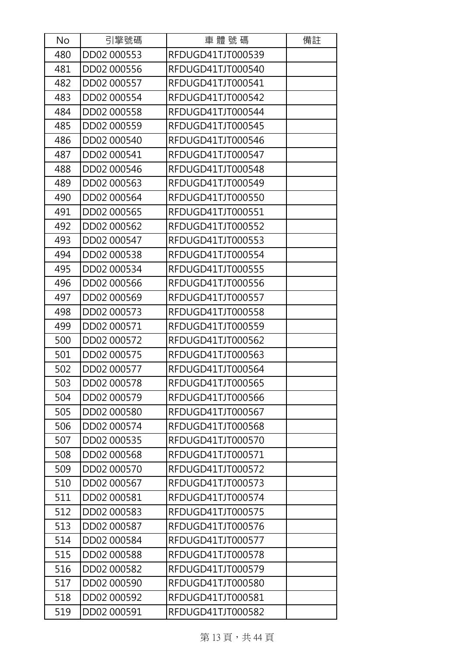| No  | 引擎號碼        | 車體號碼              | 備註 |
|-----|-------------|-------------------|----|
| 480 | DD02 000553 | RFDUGD41TJT000539 |    |
| 481 | DD02 000556 | RFDUGD41TJT000540 |    |
| 482 | DD02 000557 | RFDUGD41TJT000541 |    |
| 483 | DD02 000554 | RFDUGD41TJT000542 |    |
| 484 | DD02 000558 | RFDUGD41TJT000544 |    |
| 485 | DD02 000559 | RFDUGD41TJT000545 |    |
| 486 | DD02 000540 | RFDUGD41TJT000546 |    |
| 487 | DD02 000541 | RFDUGD41TJT000547 |    |
| 488 | DD02 000546 | RFDUGD41TJT000548 |    |
| 489 | DD02 000563 | RFDUGD41TJT000549 |    |
| 490 | DD02 000564 | RFDUGD41TJT000550 |    |
| 491 | DD02 000565 | RFDUGD41TJT000551 |    |
| 492 | DD02 000562 | RFDUGD41TJT000552 |    |
| 493 | DD02 000547 | RFDUGD41TJT000553 |    |
| 494 | DD02 000538 | RFDUGD41TJT000554 |    |
| 495 | DD02 000534 | RFDUGD41TJT000555 |    |
| 496 | DD02 000566 | RFDUGD41TJT000556 |    |
| 497 | DD02 000569 | RFDUGD41TJT000557 |    |
| 498 | DD02 000573 | RFDUGD41TJT000558 |    |
| 499 | DD02 000571 | RFDUGD41TJT000559 |    |
| 500 | DD02 000572 | RFDUGD41TJT000562 |    |
| 501 | DD02 000575 | RFDUGD41TJT000563 |    |
| 502 | DD02 000577 | RFDUGD41TJT000564 |    |
| 503 | DD02 000578 | RFDUGD41TJT000565 |    |
| 504 | DD02 000579 | RFDUGD41TJT000566 |    |
| 505 | DD02 000580 | RFDUGD41TJT000567 |    |
| 506 | DD02 000574 | RFDUGD41TJT000568 |    |
| 507 | DD02 000535 | RFDUGD41TJT000570 |    |
| 508 | DD02 000568 | RFDUGD41TJT000571 |    |
| 509 | DD02 000570 | RFDUGD41TJT000572 |    |
| 510 | DD02 000567 | RFDUGD41TJT000573 |    |
| 511 | DD02 000581 | RFDUGD41TJT000574 |    |
| 512 | DD02 000583 | RFDUGD41TJT000575 |    |
| 513 | DD02 000587 | RFDUGD41TJT000576 |    |
| 514 | DD02 000584 | RFDUGD41TJT000577 |    |
| 515 | DD02 000588 | RFDUGD41TJT000578 |    |
| 516 | DD02 000582 | RFDUGD41TJT000579 |    |
| 517 | DD02 000590 | RFDUGD41TJT000580 |    |
| 518 | DD02 000592 | RFDUGD41TJT000581 |    |
| 519 | DD02 000591 | RFDUGD41TJT000582 |    |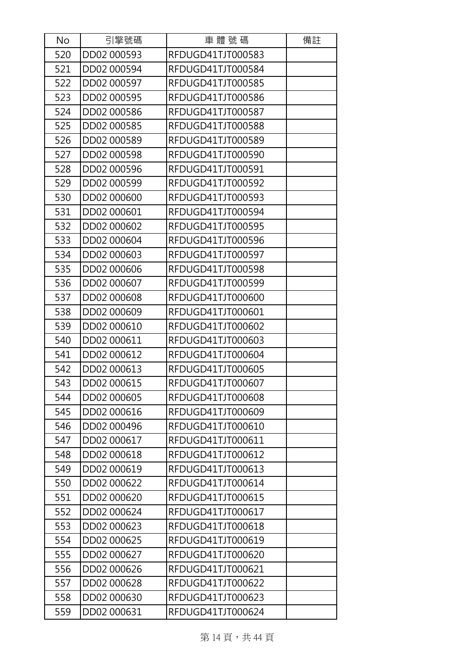| No  | 引擎號碼        | 車體號碼              | 備註 |
|-----|-------------|-------------------|----|
| 520 | DD02 000593 | RFDUGD41TJT000583 |    |
| 521 | DD02 000594 | RFDUGD41TJT000584 |    |
| 522 | DD02 000597 | RFDUGD41TJT000585 |    |
| 523 | DD02 000595 | RFDUGD41TJT000586 |    |
| 524 | DD02 000586 | RFDUGD41TJT000587 |    |
| 525 | DD02 000585 | RFDUGD41TJT000588 |    |
| 526 | DD02 000589 | RFDUGD41TJT000589 |    |
| 527 | DD02 000598 | RFDUGD41TJT000590 |    |
| 528 | DD02 000596 | RFDUGD41TJT000591 |    |
| 529 | DD02 000599 | RFDUGD41TJT000592 |    |
| 530 | DD02 000600 | RFDUGD41TJT000593 |    |
| 531 | DD02 000601 | RFDUGD41TJT000594 |    |
| 532 | DD02 000602 | RFDUGD41TJT000595 |    |
| 533 | DD02 000604 | RFDUGD41TJT000596 |    |
| 534 | DD02 000603 | RFDUGD41TJT000597 |    |
| 535 | DD02 000606 | RFDUGD41TJT000598 |    |
| 536 | DD02 000607 | RFDUGD41TJT000599 |    |
| 537 | DD02 000608 | RFDUGD41TJT000600 |    |
| 538 | DD02 000609 | RFDUGD41TJT000601 |    |
| 539 | DD02 000610 | RFDUGD41TJT000602 |    |
| 540 | DD02 000611 | RFDUGD41TJT000603 |    |
| 541 | DD02 000612 | RFDUGD41TJT000604 |    |
| 542 | DD02 000613 | RFDUGD41TJT000605 |    |
| 543 | DD02 000615 | RFDUGD41TJT000607 |    |
| 544 | DD02 000605 | RFDUGD41TJT000608 |    |
| 545 | DD02 000616 | RFDUGD41TJT000609 |    |
| 546 | DD02 000496 | RFDUGD41TJT000610 |    |
| 547 | DD02 000617 | RFDUGD41TJT000611 |    |
| 548 | DD02 000618 | RFDUGD41TJT000612 |    |
| 549 | DD02 000619 | RFDUGD41TJT000613 |    |
| 550 | DD02 000622 | RFDUGD41TJT000614 |    |
| 551 | DD02 000620 | RFDUGD41TJT000615 |    |
| 552 | DD02 000624 | RFDUGD41TJT000617 |    |
| 553 | DD02 000623 | RFDUGD41TJT000618 |    |
| 554 | DD02 000625 | RFDUGD41TJT000619 |    |
| 555 | DD02 000627 | RFDUGD41TJT000620 |    |
| 556 | DD02 000626 | RFDUGD41TJT000621 |    |
| 557 | DD02 000628 | RFDUGD41TJT000622 |    |
| 558 | DD02 000630 | RFDUGD41TJT000623 |    |
| 559 | DD02 000631 | RFDUGD41TJT000624 |    |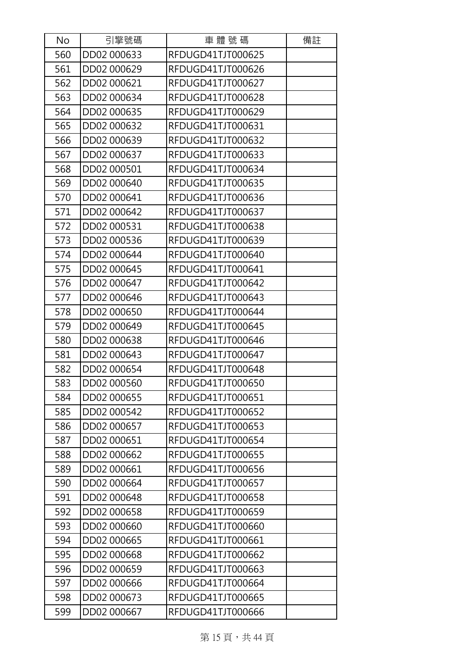| No  | 引擎號碼        | 車體號碼              | 備註 |
|-----|-------------|-------------------|----|
| 560 | DD02 000633 | RFDUGD41TJT000625 |    |
| 561 | DD02 000629 | RFDUGD41TJT000626 |    |
| 562 | DD02 000621 | RFDUGD41TJT000627 |    |
| 563 | DD02 000634 | RFDUGD41TJT000628 |    |
| 564 | DD02 000635 | RFDUGD41TJT000629 |    |
| 565 | DD02 000632 | RFDUGD41TJT000631 |    |
| 566 | DD02 000639 | RFDUGD41TJT000632 |    |
| 567 | DD02 000637 | RFDUGD41TJT000633 |    |
| 568 | DD02 000501 | RFDUGD41TJT000634 |    |
| 569 | DD02 000640 | RFDUGD41TJT000635 |    |
| 570 | DD02 000641 | RFDUGD41TJT000636 |    |
| 571 | DD02 000642 | RFDUGD41TJT000637 |    |
| 572 | DD02 000531 | RFDUGD41TJT000638 |    |
| 573 | DD02 000536 | RFDUGD41TJT000639 |    |
| 574 | DD02 000644 | RFDUGD41TJT000640 |    |
| 575 | DD02 000645 | RFDUGD41TJT000641 |    |
| 576 | DD02 000647 | RFDUGD41TJT000642 |    |
| 577 | DD02 000646 | RFDUGD41TJT000643 |    |
| 578 | DD02 000650 | RFDUGD41TJT000644 |    |
| 579 | DD02 000649 | RFDUGD41TJT000645 |    |
| 580 | DD02 000638 | RFDUGD41TJT000646 |    |
| 581 | DD02 000643 | RFDUGD41TJT000647 |    |
| 582 | DD02 000654 | RFDUGD41TJT000648 |    |
| 583 | DD02 000560 | RFDUGD41TJT000650 |    |
| 584 | DD02 000655 | RFDUGD41TJT000651 |    |
| 585 | DD02 000542 | RFDUGD41TJT000652 |    |
| 586 | DD02 000657 | RFDUGD41TJT000653 |    |
| 587 | DD02 000651 | RFDUGD41TJT000654 |    |
| 588 | DD02 000662 | RFDUGD41TJT000655 |    |
| 589 | DD02 000661 | RFDUGD41TJT000656 |    |
| 590 | DD02 000664 | RFDUGD41TJT000657 |    |
| 591 | DD02 000648 | RFDUGD41TJT000658 |    |
| 592 | DD02 000658 | RFDUGD41TJT000659 |    |
| 593 | DD02 000660 | RFDUGD41TJT000660 |    |
| 594 | DD02 000665 | RFDUGD41TJT000661 |    |
| 595 | DD02 000668 | RFDUGD41TJT000662 |    |
| 596 | DD02 000659 | RFDUGD41TJT000663 |    |
| 597 | DD02 000666 | RFDUGD41TJT000664 |    |
| 598 | DD02 000673 | RFDUGD41TJT000665 |    |
| 599 | DD02 000667 | RFDUGD41TJT000666 |    |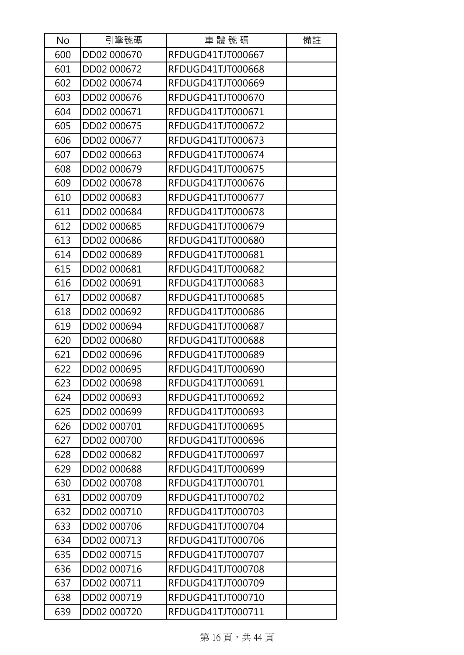| No  | 引擎號碼        | 車體號碼              | 備註 |
|-----|-------------|-------------------|----|
| 600 | DD02 000670 | RFDUGD41TJT000667 |    |
| 601 | DD02 000672 | RFDUGD41TJT000668 |    |
| 602 | DD02 000674 | RFDUGD41TJT000669 |    |
| 603 | DD02 000676 | RFDUGD41TJT000670 |    |
| 604 | DD02 000671 | RFDUGD41TJT000671 |    |
| 605 | DD02 000675 | RFDUGD41TJT000672 |    |
| 606 | DD02 000677 | RFDUGD41TJT000673 |    |
| 607 | DD02 000663 | RFDUGD41TJT000674 |    |
| 608 | DD02 000679 | RFDUGD41TJT000675 |    |
| 609 | DD02 000678 | RFDUGD41TJT000676 |    |
| 610 | DD02 000683 | RFDUGD41TJT000677 |    |
| 611 | DD02 000684 | RFDUGD41TJT000678 |    |
| 612 | DD02 000685 | RFDUGD41TJT000679 |    |
| 613 | DD02 000686 | RFDUGD41TJT000680 |    |
| 614 | DD02 000689 | RFDUGD41TJT000681 |    |
| 615 | DD02 000681 | RFDUGD41TJT000682 |    |
| 616 | DD02 000691 | RFDUGD41TJT000683 |    |
| 617 | DD02 000687 | RFDUGD41TJT000685 |    |
| 618 | DD02 000692 | RFDUGD41TJT000686 |    |
| 619 | DD02 000694 | RFDUGD41TJT000687 |    |
| 620 | DD02 000680 | RFDUGD41TJT000688 |    |
| 621 | DD02 000696 | RFDUGD41TJT000689 |    |
| 622 | DD02 000695 | RFDUGD41TJT000690 |    |
| 623 | DD02 000698 | RFDUGD41TJT000691 |    |
| 624 | DD02 000693 | RFDUGD41TJT000692 |    |
| 625 | DD02 000699 | RFDUGD41TJT000693 |    |
| 626 | DD02 000701 | RFDUGD41TJT000695 |    |
| 627 | DD02 000700 | RFDUGD41TJT000696 |    |
| 628 | DD02 000682 | RFDUGD41TJT000697 |    |
| 629 | DD02 000688 | RFDUGD41TJT000699 |    |
| 630 | DD02 000708 | RFDUGD41TJT000701 |    |
| 631 | DD02 000709 | RFDUGD41TJT000702 |    |
| 632 | DD02 000710 | RFDUGD41TJT000703 |    |
| 633 | DD02 000706 | RFDUGD41TJT000704 |    |
| 634 | DD02 000713 | RFDUGD41TJT000706 |    |
| 635 | DD02 000715 | RFDUGD41TJT000707 |    |
| 636 | DD02 000716 | RFDUGD41TJT000708 |    |
| 637 | DD02 000711 | RFDUGD41TJT000709 |    |
| 638 | DD02 000719 | RFDUGD41TJT000710 |    |
| 639 | DD02 000720 | RFDUGD41TJT000711 |    |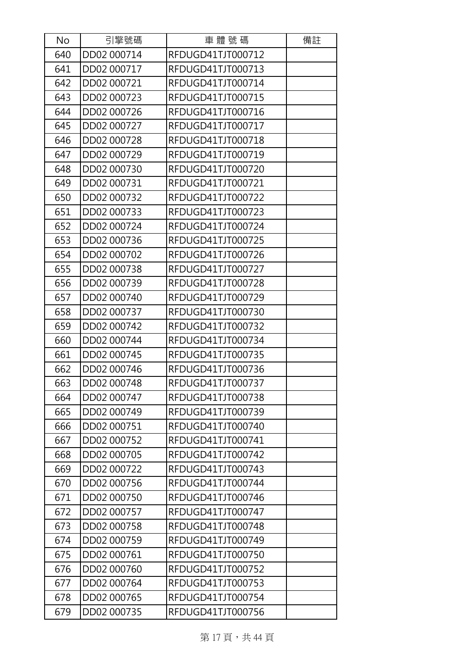| No  | 引擎號碼        | 車體號碼              | 備註 |
|-----|-------------|-------------------|----|
| 640 | DD02 000714 | RFDUGD41TJT000712 |    |
| 641 | DD02 000717 | RFDUGD41TJT000713 |    |
| 642 | DD02 000721 | RFDUGD41TJT000714 |    |
| 643 | DD02 000723 | RFDUGD41TJT000715 |    |
| 644 | DD02 000726 | RFDUGD41TJT000716 |    |
| 645 | DD02 000727 | RFDUGD41TJT000717 |    |
| 646 | DD02 000728 | RFDUGD41TJT000718 |    |
| 647 | DD02 000729 | RFDUGD41TJT000719 |    |
| 648 | DD02 000730 | RFDUGD41TJT000720 |    |
| 649 | DD02 000731 | RFDUGD41TJT000721 |    |
| 650 | DD02 000732 | RFDUGD41TJT000722 |    |
| 651 | DD02 000733 | RFDUGD41TJT000723 |    |
| 652 | DD02 000724 | RFDUGD41TJT000724 |    |
| 653 | DD02 000736 | RFDUGD41TJT000725 |    |
| 654 | DD02 000702 | RFDUGD41TJT000726 |    |
| 655 | DD02 000738 | RFDUGD41TJT000727 |    |
| 656 | DD02 000739 | RFDUGD41TJT000728 |    |
| 657 | DD02 000740 | RFDUGD41TJT000729 |    |
| 658 | DD02 000737 | RFDUGD41TJT000730 |    |
| 659 | DD02 000742 | RFDUGD41TJT000732 |    |
| 660 | DD02 000744 | RFDUGD41TJT000734 |    |
| 661 | DD02 000745 | RFDUGD41TJT000735 |    |
| 662 | DD02 000746 | RFDUGD41TJT000736 |    |
| 663 | DD02 000748 | RFDUGD41TJT000737 |    |
| 664 | DD02 000747 | RFDUGD41TJT000738 |    |
| 665 | DD02 000749 | RFDUGD41TJT000739 |    |
| 666 | DD02 000751 | RFDUGD41TJT000740 |    |
| 667 | DD02 000752 | RFDUGD41TJT000741 |    |
| 668 | DD02 000705 | RFDUGD41TJT000742 |    |
| 669 | DD02 000722 | RFDUGD41TJT000743 |    |
| 670 | DD02 000756 | RFDUGD41TJT000744 |    |
| 671 | DD02 000750 | RFDUGD41TJT000746 |    |
| 672 | DD02 000757 | RFDUGD41TJT000747 |    |
| 673 | DD02 000758 | RFDUGD41TJT000748 |    |
| 674 | DD02 000759 | RFDUGD41TJT000749 |    |
| 675 | DD02 000761 | RFDUGD41TJT000750 |    |
| 676 | DD02 000760 | RFDUGD41TJT000752 |    |
| 677 | DD02 000764 | RFDUGD41TJT000753 |    |
| 678 | DD02 000765 | RFDUGD41TJT000754 |    |
| 679 | DD02 000735 | RFDUGD41TJT000756 |    |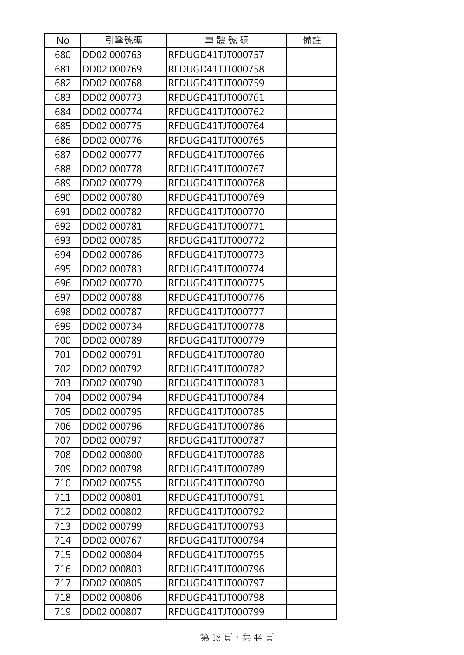| No  | 引擎號碼        | 車體號碼              | 備註 |
|-----|-------------|-------------------|----|
| 680 | DD02 000763 | RFDUGD41TJT000757 |    |
| 681 | DD02 000769 | RFDUGD41TJT000758 |    |
| 682 | DD02 000768 | RFDUGD41TJT000759 |    |
| 683 | DD02 000773 | RFDUGD41TJT000761 |    |
| 684 | DD02 000774 | RFDUGD41TJT000762 |    |
| 685 | DD02 000775 | RFDUGD41TJT000764 |    |
| 686 | DD02 000776 | RFDUGD41TJT000765 |    |
| 687 | DD02 000777 | RFDUGD41TJT000766 |    |
| 688 | DD02 000778 | RFDUGD41TJT000767 |    |
| 689 | DD02 000779 | RFDUGD41TJT000768 |    |
| 690 | DD02 000780 | RFDUGD41TJT000769 |    |
| 691 | DD02 000782 | RFDUGD41TJT000770 |    |
| 692 | DD02 000781 | RFDUGD41TJT000771 |    |
| 693 | DD02 000785 | RFDUGD41TJT000772 |    |
| 694 | DD02 000786 | RFDUGD41TJT000773 |    |
| 695 | DD02 000783 | RFDUGD41TJT000774 |    |
| 696 | DD02 000770 | RFDUGD41TJT000775 |    |
| 697 | DD02 000788 | RFDUGD41TJT000776 |    |
| 698 | DD02 000787 | RFDUGD41TJT000777 |    |
| 699 | DD02 000734 | RFDUGD41TJT000778 |    |
| 700 | DD02 000789 | RFDUGD41TJT000779 |    |
| 701 | DD02 000791 | RFDUGD41TJT000780 |    |
| 702 | DD02 000792 | RFDUGD41TJT000782 |    |
| 703 | DD02 000790 | RFDUGD41TJT000783 |    |
| 704 | DD02 000794 | RFDUGD41TJT000784 |    |
| 705 | DD02 000795 | RFDUGD41TJT000785 |    |
| 706 | DD02 000796 | RFDUGD41TJT000786 |    |
| 707 | DD02 000797 | RFDUGD41TJT000787 |    |
| 708 | DD02 000800 | RFDUGD41TJT000788 |    |
| 709 | DD02 000798 | RFDUGD41TJT000789 |    |
| 710 | DD02 000755 | RFDUGD41TJT000790 |    |
| 711 | DD02 000801 | RFDUGD41TJT000791 |    |
| 712 | DD02 000802 | RFDUGD41TJT000792 |    |
| 713 | DD02 000799 | RFDUGD41TJT000793 |    |
| 714 | DD02 000767 | RFDUGD41TJT000794 |    |
| 715 | DD02 000804 | RFDUGD41TJT000795 |    |
| 716 | DD02 000803 | RFDUGD41TJT000796 |    |
| 717 | DD02 000805 | RFDUGD41TJT000797 |    |
| 718 | DD02 000806 | RFDUGD41TJT000798 |    |
| 719 | DD02 000807 | RFDUGD41TJT000799 |    |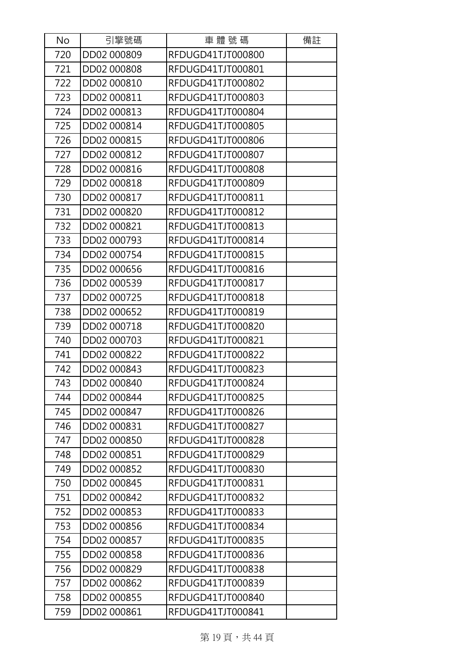| No  | 引擎號碼        | 車體號碼              | 備註 |
|-----|-------------|-------------------|----|
| 720 | DD02 000809 | RFDUGD41TJT000800 |    |
| 721 | DD02 000808 | RFDUGD41TJT000801 |    |
| 722 | DD02 000810 | RFDUGD41TJT000802 |    |
| 723 | DD02 000811 | RFDUGD41TJT000803 |    |
| 724 | DD02 000813 | RFDUGD41TJT000804 |    |
| 725 | DD02 000814 | RFDUGD41TJT000805 |    |
| 726 | DD02 000815 | RFDUGD41TJT000806 |    |
| 727 | DD02 000812 | RFDUGD41TJT000807 |    |
| 728 | DD02 000816 | RFDUGD41TJT000808 |    |
| 729 | DD02 000818 | RFDUGD41TJT000809 |    |
| 730 | DD02 000817 | RFDUGD41TJT000811 |    |
| 731 | DD02 000820 | RFDUGD41TJT000812 |    |
| 732 | DD02 000821 | RFDUGD41TJT000813 |    |
| 733 | DD02 000793 | RFDUGD41TJT000814 |    |
| 734 | DD02 000754 | RFDUGD41TJT000815 |    |
| 735 | DD02 000656 | RFDUGD41TJT000816 |    |
| 736 | DD02 000539 | RFDUGD41TJT000817 |    |
| 737 | DD02 000725 | RFDUGD41TJT000818 |    |
| 738 | DD02 000652 | RFDUGD41TJT000819 |    |
| 739 | DD02 000718 | RFDUGD41TJT000820 |    |
| 740 | DD02 000703 | RFDUGD41TJT000821 |    |
| 741 | DD02 000822 | RFDUGD41TJT000822 |    |
| 742 | DD02 000843 | RFDUGD41TJT000823 |    |
| 743 | DD02 000840 | RFDUGD41TJT000824 |    |
| 744 | DD02 000844 | RFDUGD41TJT000825 |    |
| 745 | DD02 000847 | RFDUGD41TJT000826 |    |
| 746 | DD02 000831 | RFDUGD41TJT000827 |    |
| 747 | DD02 000850 | RFDUGD41TJT000828 |    |
| 748 | DD02 000851 | RFDUGD41TJT000829 |    |
| 749 | DD02 000852 | RFDUGD41TJT000830 |    |
| 750 | DD02 000845 | RFDUGD41TJT000831 |    |
| 751 | DD02 000842 | RFDUGD41TJT000832 |    |
| 752 | DD02 000853 | RFDUGD41TJT000833 |    |
| 753 | DD02 000856 | RFDUGD41TJT000834 |    |
| 754 | DD02 000857 | RFDUGD41TJT000835 |    |
| 755 | DD02 000858 | RFDUGD41TJT000836 |    |
| 756 | DD02 000829 | RFDUGD41TJT000838 |    |
| 757 | DD02 000862 | RFDUGD41TJT000839 |    |
| 758 | DD02 000855 | RFDUGD41TJT000840 |    |
| 759 | DD02 000861 | RFDUGD41TJT000841 |    |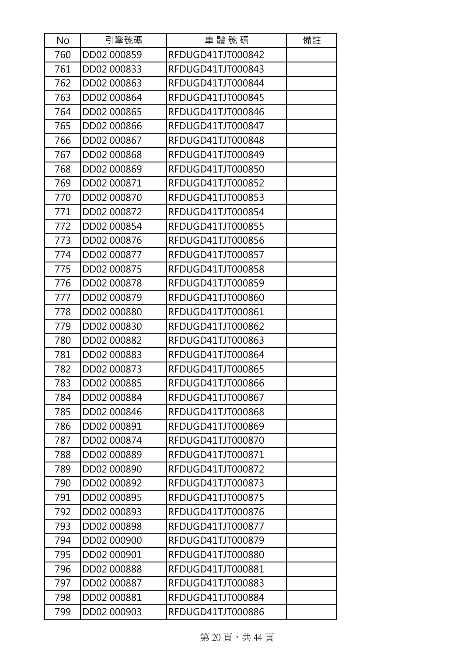| No  | 引擎號碼        | 車體號碼              | 備註 |
|-----|-------------|-------------------|----|
| 760 | DD02 000859 | RFDUGD41TJT000842 |    |
| 761 | DD02 000833 | RFDUGD41TJT000843 |    |
| 762 | DD02 000863 | RFDUGD41TJT000844 |    |
| 763 | DD02 000864 | RFDUGD41TJT000845 |    |
| 764 | DD02 000865 | RFDUGD41TJT000846 |    |
| 765 | DD02 000866 | RFDUGD41TJT000847 |    |
| 766 | DD02 000867 | RFDUGD41TJT000848 |    |
| 767 | DD02 000868 | RFDUGD41TJT000849 |    |
| 768 | DD02 000869 | RFDUGD41TJT000850 |    |
| 769 | DD02 000871 | RFDUGD41TJT000852 |    |
| 770 | DD02 000870 | RFDUGD41TJT000853 |    |
| 771 | DD02 000872 | RFDUGD41TJT000854 |    |
| 772 | DD02 000854 | RFDUGD41TJT000855 |    |
| 773 | DD02 000876 | RFDUGD41TJT000856 |    |
| 774 | DD02 000877 | RFDUGD41TJT000857 |    |
| 775 | DD02 000875 | RFDUGD41TJT000858 |    |
| 776 | DD02 000878 | RFDUGD41TJT000859 |    |
| 777 | DD02 000879 | RFDUGD41TJT000860 |    |
| 778 | DD02 000880 | RFDUGD41TJT000861 |    |
| 779 | DD02 000830 | RFDUGD41TJT000862 |    |
| 780 | DD02 000882 | RFDUGD41TJT000863 |    |
| 781 | DD02 000883 | RFDUGD41TJT000864 |    |
| 782 | DD02 000873 | RFDUGD41TJT000865 |    |
| 783 | DD02 000885 | RFDUGD41TJT000866 |    |
| 784 | DD02 000884 | RFDUGD41TJT000867 |    |
| 785 | DD02 000846 | RFDUGD41TJT000868 |    |
| 786 | DD02 000891 | RFDUGD41TJT000869 |    |
| 787 | DD02 000874 | RFDUGD41TJT000870 |    |
| 788 | DD02 000889 | RFDUGD41TJT000871 |    |
| 789 | DD02 000890 | RFDUGD41TJT000872 |    |
| 790 | DD02 000892 | RFDUGD41TJT000873 |    |
| 791 | DD02 000895 | RFDUGD41TJT000875 |    |
| 792 | DD02 000893 | RFDUGD41TJT000876 |    |
| 793 | DD02 000898 | RFDUGD41TJT000877 |    |
| 794 | DD02 000900 | RFDUGD41TJT000879 |    |
| 795 | DD02 000901 | RFDUGD41TJT000880 |    |
| 796 | DD02 000888 | RFDUGD41TJT000881 |    |
| 797 | DD02 000887 | RFDUGD41TJT000883 |    |
| 798 | DD02 000881 | RFDUGD41TJT000884 |    |
| 799 | DD02 000903 | RFDUGD41TJT000886 |    |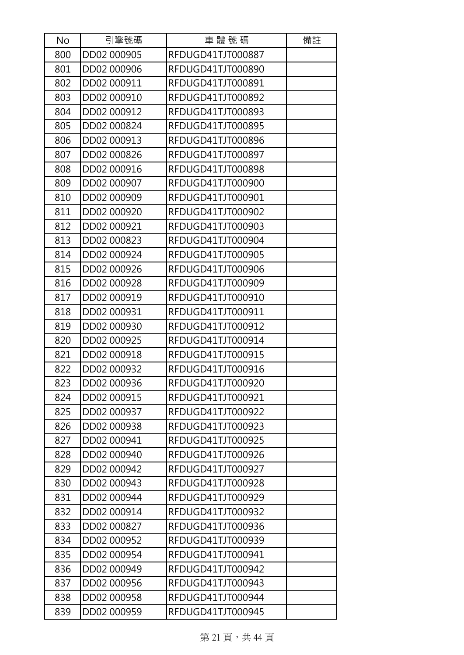| No  | 引擎號碼        | 車體號碼              | 備註 |
|-----|-------------|-------------------|----|
| 800 | DD02 000905 | RFDUGD41TJT000887 |    |
| 801 | DD02 000906 | RFDUGD41TJT000890 |    |
| 802 | DD02 000911 | RFDUGD41TJT000891 |    |
| 803 | DD02 000910 | RFDUGD41TJT000892 |    |
| 804 | DD02 000912 | RFDUGD41TJT000893 |    |
| 805 | DD02 000824 | RFDUGD41TJT000895 |    |
| 806 | DD02 000913 | RFDUGD41TJT000896 |    |
| 807 | DD02 000826 | RFDUGD41TJT000897 |    |
| 808 | DD02 000916 | RFDUGD41TJT000898 |    |
| 809 | DD02 000907 | RFDUGD41TJT000900 |    |
| 810 | DD02 000909 | RFDUGD41TJT000901 |    |
| 811 | DD02 000920 | RFDUGD41TJT000902 |    |
| 812 | DD02 000921 | RFDUGD41TJT000903 |    |
| 813 | DD02 000823 | RFDUGD41TJT000904 |    |
| 814 | DD02 000924 | RFDUGD41TJT000905 |    |
| 815 | DD02 000926 | RFDUGD41TJT000906 |    |
| 816 | DD02 000928 | RFDUGD41TJT000909 |    |
| 817 | DD02 000919 | RFDUGD41TJT000910 |    |
| 818 | DD02 000931 | RFDUGD41TJT000911 |    |
| 819 | DD02 000930 | RFDUGD41TJT000912 |    |
| 820 | DD02 000925 | RFDUGD41TJT000914 |    |
| 821 | DD02 000918 | RFDUGD41TJT000915 |    |
| 822 | DD02 000932 | RFDUGD41TJT000916 |    |
| 823 | DD02 000936 | RFDUGD41TJT000920 |    |
| 824 | DD02 000915 | RFDUGD41TJT000921 |    |
| 825 | DD02 000937 | RFDUGD41TJT000922 |    |
| 826 | DD02 000938 | RFDUGD41TJT000923 |    |
| 827 | DD02 000941 | RFDUGD41TJT000925 |    |
| 828 | DD02 000940 | RFDUGD41TJT000926 |    |
| 829 | DD02 000942 | RFDUGD41TJT000927 |    |
| 830 | DD02 000943 | RFDUGD41TJT000928 |    |
| 831 | DD02 000944 | RFDUGD41TJT000929 |    |
| 832 | DD02 000914 | RFDUGD41TJT000932 |    |
| 833 | DD02 000827 | RFDUGD41TJT000936 |    |
| 834 | DD02 000952 | RFDUGD41TJT000939 |    |
| 835 | DD02 000954 | RFDUGD41TJT000941 |    |
| 836 | DD02 000949 | RFDUGD41TJT000942 |    |
| 837 | DD02 000956 | RFDUGD41TJT000943 |    |
| 838 | DD02 000958 | RFDUGD41TJT000944 |    |
| 839 | DD02 000959 | RFDUGD41TJT000945 |    |

第 21 頁,共44 頁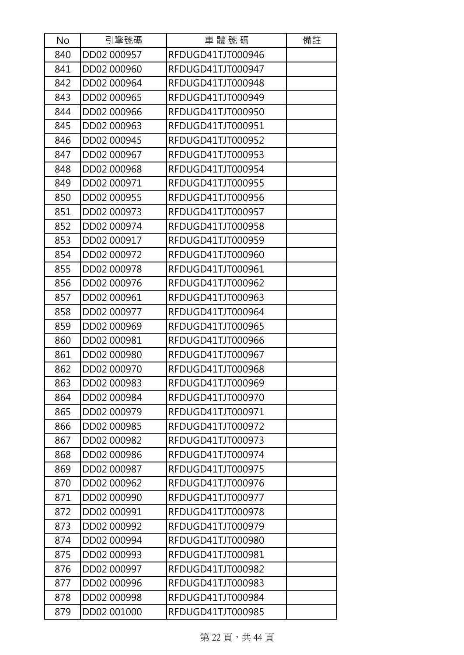| No  | 引擎號碼        | 車體號碼              | 備註 |
|-----|-------------|-------------------|----|
| 840 | DD02 000957 | RFDUGD41TJT000946 |    |
| 841 | DD02 000960 | RFDUGD41TJT000947 |    |
| 842 | DD02 000964 | RFDUGD41TJT000948 |    |
| 843 | DD02 000965 | RFDUGD41TJT000949 |    |
| 844 | DD02 000966 | RFDUGD41TJT000950 |    |
| 845 | DD02 000963 | RFDUGD41TJT000951 |    |
| 846 | DD02 000945 | RFDUGD41TJT000952 |    |
| 847 | DD02 000967 | RFDUGD41TJT000953 |    |
| 848 | DD02 000968 | RFDUGD41TJT000954 |    |
| 849 | DD02 000971 | RFDUGD41TJT000955 |    |
| 850 | DD02 000955 | RFDUGD41TJT000956 |    |
| 851 | DD02 000973 | RFDUGD41TJT000957 |    |
| 852 | DD02 000974 | RFDUGD41TJT000958 |    |
| 853 | DD02 000917 | RFDUGD41TJT000959 |    |
| 854 | DD02 000972 | RFDUGD41TJT000960 |    |
| 855 | DD02 000978 | RFDUGD41TJT000961 |    |
| 856 | DD02 000976 | RFDUGD41TJT000962 |    |
| 857 | DD02 000961 | RFDUGD41TJT000963 |    |
| 858 | DD02 000977 | RFDUGD41TJT000964 |    |
| 859 | DD02 000969 | RFDUGD41TJT000965 |    |
| 860 | DD02 000981 | RFDUGD41TJT000966 |    |
| 861 | DD02 000980 | RFDUGD41TJT000967 |    |
| 862 | DD02 000970 | RFDUGD41TJT000968 |    |
| 863 | DD02 000983 | RFDUGD41TJT000969 |    |
| 864 | DD02 000984 | RFDUGD41TJT000970 |    |
| 865 | DD02 000979 | RFDUGD41TJT000971 |    |
| 866 | DD02 000985 | RFDUGD41TJT000972 |    |
| 867 | DD02 000982 | RFDUGD41TJT000973 |    |
| 868 | DD02 000986 | RFDUGD41TJT000974 |    |
| 869 | DD02 000987 | RFDUGD41TJT000975 |    |
| 870 | DD02 000962 | RFDUGD41TJT000976 |    |
| 871 | DD02 000990 | RFDUGD41TJT000977 |    |
| 872 | DD02 000991 | RFDUGD41TJT000978 |    |
| 873 | DD02 000992 | RFDUGD41TJT000979 |    |
| 874 | DD02 000994 | RFDUGD41TJT000980 |    |
| 875 | DD02 000993 | RFDUGD41TJT000981 |    |
| 876 | DD02 000997 | RFDUGD41TJT000982 |    |
| 877 | DD02 000996 | RFDUGD41TJT000983 |    |
| 878 | DD02 000998 | RFDUGD41TJT000984 |    |
| 879 | DD02 001000 | RFDUGD41TJT000985 |    |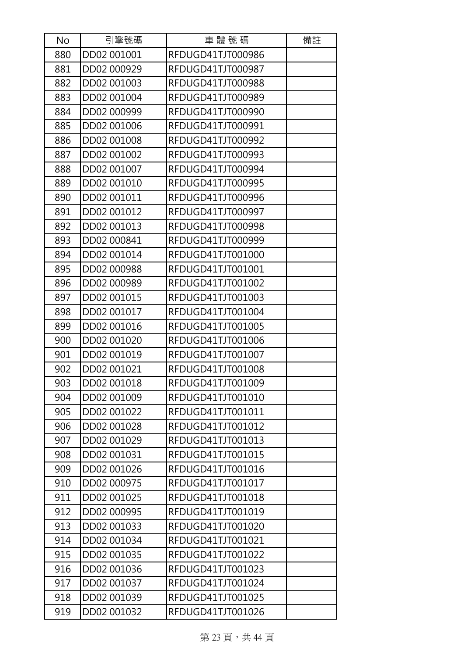| No  | 引擎號碼        | 車體號碼              | 備註 |
|-----|-------------|-------------------|----|
| 880 | DD02 001001 | RFDUGD41TJT000986 |    |
| 881 | DD02 000929 | RFDUGD41TJT000987 |    |
| 882 | DD02 001003 | RFDUGD41TJT000988 |    |
| 883 | DD02 001004 | RFDUGD41TJT000989 |    |
| 884 | DD02 000999 | RFDUGD41TJT000990 |    |
| 885 | DD02 001006 | RFDUGD41TJT000991 |    |
| 886 | DD02 001008 | RFDUGD41TJT000992 |    |
| 887 | DD02 001002 | RFDUGD41TJT000993 |    |
| 888 | DD02 001007 | RFDUGD41TJT000994 |    |
| 889 | DD02 001010 | RFDUGD41TJT000995 |    |
| 890 | DD02 001011 | RFDUGD41TJT000996 |    |
| 891 | DD02 001012 | RFDUGD41TJT000997 |    |
| 892 | DD02 001013 | RFDUGD41TJT000998 |    |
| 893 | DD02 000841 | RFDUGD41TJT000999 |    |
| 894 | DD02 001014 | RFDUGD41TJT001000 |    |
| 895 | DD02 000988 | RFDUGD41TJT001001 |    |
| 896 | DD02 000989 | RFDUGD41TJT001002 |    |
| 897 | DD02 001015 | RFDUGD41TJT001003 |    |
| 898 | DD02 001017 | RFDUGD41TJT001004 |    |
| 899 | DD02 001016 | RFDUGD41TJT001005 |    |
| 900 | DD02 001020 | RFDUGD41TJT001006 |    |
| 901 | DD02 001019 | RFDUGD41TJT001007 |    |
| 902 | DD02 001021 | RFDUGD41TJT001008 |    |
| 903 | DD02 001018 | RFDUGD41TJT001009 |    |
| 904 | DD02 001009 | RFDUGD41TJT001010 |    |
| 905 | DD02 001022 | RFDUGD41TJT001011 |    |
| 906 | DD02 001028 | RFDUGD41TJT001012 |    |
| 907 | DD02 001029 | RFDUGD41TJT001013 |    |
| 908 | DD02 001031 | RFDUGD41TJT001015 |    |
| 909 | DD02 001026 | RFDUGD41TJT001016 |    |
| 910 | DD02 000975 | RFDUGD41TJT001017 |    |
| 911 | DD02 001025 | RFDUGD41TJT001018 |    |
| 912 | DD02 000995 | RFDUGD41TJT001019 |    |
| 913 | DD02 001033 | RFDUGD41TJT001020 |    |
| 914 | DD02 001034 | RFDUGD41TJT001021 |    |
| 915 | DD02 001035 | RFDUGD41TJT001022 |    |
| 916 | DD02 001036 | RFDUGD41TJT001023 |    |
| 917 | DD02 001037 | RFDUGD41TJT001024 |    |
| 918 | DD02 001039 | RFDUGD41TJT001025 |    |
| 919 | DD02 001032 | RFDUGD41TJT001026 |    |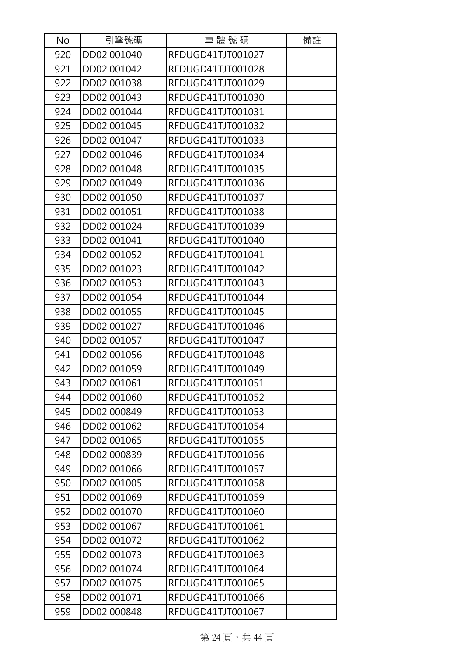| No  | 引擎號碼        | 車體號碼              | 備註 |
|-----|-------------|-------------------|----|
| 920 | DD02 001040 | RFDUGD41TJT001027 |    |
| 921 | DD02 001042 | RFDUGD41TJT001028 |    |
| 922 | DD02 001038 | RFDUGD41TJT001029 |    |
| 923 | DD02 001043 | RFDUGD41TJT001030 |    |
| 924 | DD02 001044 | RFDUGD41TJT001031 |    |
| 925 | DD02 001045 | RFDUGD41TJT001032 |    |
| 926 | DD02 001047 | RFDUGD41TJT001033 |    |
| 927 | DD02 001046 | RFDUGD41TJT001034 |    |
| 928 | DD02 001048 | RFDUGD41TJT001035 |    |
| 929 | DD02 001049 | RFDUGD41TJT001036 |    |
| 930 | DD02 001050 | RFDUGD41TJT001037 |    |
| 931 | DD02 001051 | RFDUGD41TJT001038 |    |
| 932 | DD02 001024 | RFDUGD41TJT001039 |    |
| 933 | DD02 001041 | RFDUGD41TJT001040 |    |
| 934 | DD02 001052 | RFDUGD41TJT001041 |    |
| 935 | DD02 001023 | RFDUGD41TJT001042 |    |
| 936 | DD02 001053 | RFDUGD41TJT001043 |    |
| 937 | DD02 001054 | RFDUGD41TJT001044 |    |
| 938 | DD02 001055 | RFDUGD41TJT001045 |    |
| 939 | DD02 001027 | RFDUGD41TJT001046 |    |
| 940 | DD02 001057 | RFDUGD41TJT001047 |    |
| 941 | DD02 001056 | RFDUGD41TJT001048 |    |
| 942 | DD02 001059 | RFDUGD41TJT001049 |    |
| 943 | DD02 001061 | RFDUGD41TJT001051 |    |
| 944 | DD02 001060 | RFDUGD41TJT001052 |    |
| 945 | DD02 000849 | RFDUGD41TJT001053 |    |
| 946 | DD02 001062 | RFDUGD41TJT001054 |    |
| 947 | DD02 001065 | RFDUGD41TJT001055 |    |
| 948 | DD02 000839 | RFDUGD41TJT001056 |    |
| 949 | DD02 001066 | RFDUGD41TJT001057 |    |
| 950 | DD02 001005 | RFDUGD41TJT001058 |    |
| 951 | DD02 001069 | RFDUGD41TJT001059 |    |
| 952 | DD02 001070 | RFDUGD41TJT001060 |    |
| 953 | DD02 001067 | RFDUGD41TJT001061 |    |
| 954 | DD02 001072 | RFDUGD41TJT001062 |    |
| 955 | DD02 001073 | RFDUGD41TJT001063 |    |
| 956 | DD02 001074 | RFDUGD41TJT001064 |    |
| 957 | DD02 001075 | RFDUGD41TJT001065 |    |
| 958 | DD02 001071 | RFDUGD41TJT001066 |    |
| 959 | DD02 000848 | RFDUGD41TJT001067 |    |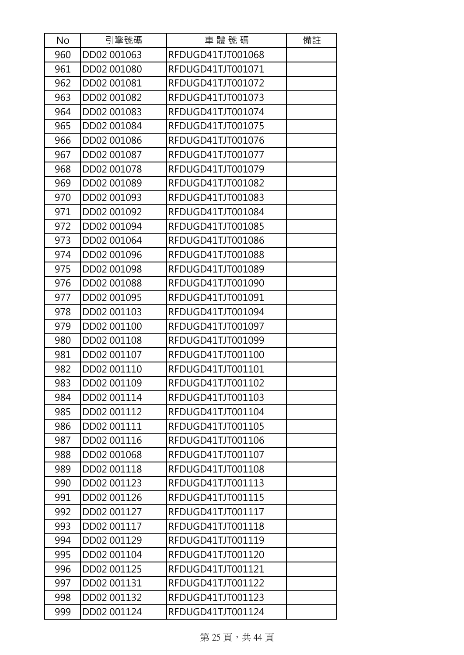| No  | 引擎號碼        | 車體號碼              | 備註 |
|-----|-------------|-------------------|----|
| 960 | DD02 001063 | RFDUGD41TJT001068 |    |
| 961 | DD02 001080 | RFDUGD41TJT001071 |    |
| 962 | DD02 001081 | RFDUGD41TJT001072 |    |
| 963 | DD02 001082 | RFDUGD41TJT001073 |    |
| 964 | DD02 001083 | RFDUGD41TJT001074 |    |
| 965 | DD02 001084 | RFDUGD41TJT001075 |    |
| 966 | DD02 001086 | RFDUGD41TJT001076 |    |
| 967 | DD02 001087 | RFDUGD41TJT001077 |    |
| 968 | DD02 001078 | RFDUGD41TJT001079 |    |
| 969 | DD02 001089 | RFDUGD41TJT001082 |    |
| 970 | DD02 001093 | RFDUGD41TJT001083 |    |
| 971 | DD02 001092 | RFDUGD41TJT001084 |    |
| 972 | DD02 001094 | RFDUGD41TJT001085 |    |
| 973 | DD02 001064 | RFDUGD41TJT001086 |    |
| 974 | DD02 001096 | RFDUGD41TJT001088 |    |
| 975 | DD02 001098 | RFDUGD41TJT001089 |    |
| 976 | DD02 001088 | RFDUGD41TJT001090 |    |
| 977 | DD02 001095 | RFDUGD41TJT001091 |    |
| 978 | DD02 001103 | RFDUGD41TJT001094 |    |
| 979 | DD02 001100 | RFDUGD41TJT001097 |    |
| 980 | DD02 001108 | RFDUGD41TJT001099 |    |
| 981 | DD02 001107 | RFDUGD41TJT001100 |    |
| 982 | DD02 001110 | RFDUGD41TJT001101 |    |
| 983 | DD02 001109 | RFDUGD41TJT001102 |    |
| 984 | DD02 001114 | RFDUGD41TJT001103 |    |
| 985 | DD02 001112 | RFDUGD41TJT001104 |    |
| 986 | DD02 001111 | RFDUGD41TJT001105 |    |
| 987 | DD02 001116 | RFDUGD41TJT001106 |    |
| 988 | DD02 001068 | RFDUGD41TJT001107 |    |
| 989 | DD02 001118 | RFDUGD41TJT001108 |    |
| 990 | DD02 001123 | RFDUGD41TJT001113 |    |
| 991 | DD02 001126 | RFDUGD41TJT001115 |    |
| 992 | DD02 001127 | RFDUGD41TJT001117 |    |
| 993 | DD02 001117 | RFDUGD41TJT001118 |    |
| 994 | DD02 001129 | RFDUGD41TJT001119 |    |
| 995 | DD02 001104 | RFDUGD41TJT001120 |    |
| 996 | DD02 001125 | RFDUGD41TJT001121 |    |
| 997 | DD02 001131 | RFDUGD41TJT001122 |    |
| 998 | DD02 001132 | RFDUGD41TJT001123 |    |
| 999 | DD02 001124 | RFDUGD41TJT001124 |    |

第 25 頁, 共44 頁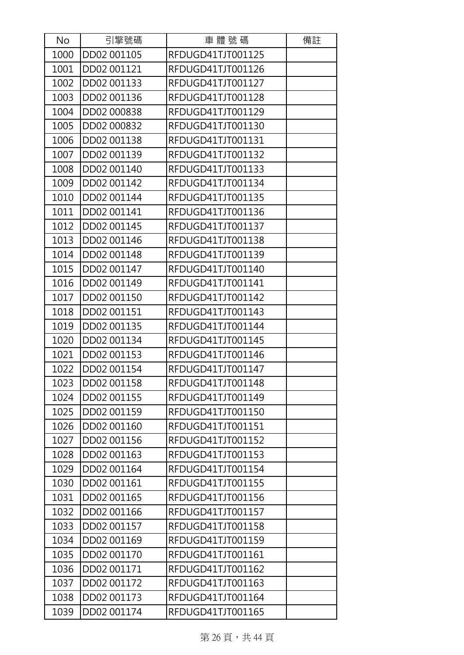| No   | 引擎號碼        | 車體號碼              | 備註 |
|------|-------------|-------------------|----|
| 1000 | DD02 001105 | RFDUGD41TJT001125 |    |
| 1001 | DD02 001121 | RFDUGD41TJT001126 |    |
| 1002 | DD02 001133 | RFDUGD41TJT001127 |    |
| 1003 | DD02 001136 | RFDUGD41TJT001128 |    |
| 1004 | DD02 000838 | RFDUGD41TJT001129 |    |
| 1005 | DD02 000832 | RFDUGD41TJT001130 |    |
| 1006 | DD02 001138 | RFDUGD41TJT001131 |    |
| 1007 | DD02 001139 | RFDUGD41TJT001132 |    |
| 1008 | DD02 001140 | RFDUGD41TJT001133 |    |
| 1009 | DD02 001142 | RFDUGD41TJT001134 |    |
| 1010 | DD02 001144 | RFDUGD41TJT001135 |    |
| 1011 | DD02 001141 | RFDUGD41TJT001136 |    |
| 1012 | DD02 001145 | RFDUGD41TJT001137 |    |
| 1013 | DD02 001146 | RFDUGD41TJT001138 |    |
| 1014 | DD02 001148 | RFDUGD41TJT001139 |    |
| 1015 | DD02 001147 | RFDUGD41TJT001140 |    |
| 1016 | DD02 001149 | RFDUGD41TJT001141 |    |
| 1017 | DD02 001150 | RFDUGD41TJT001142 |    |
| 1018 | DD02 001151 | RFDUGD41TJT001143 |    |
| 1019 | DD02 001135 | RFDUGD41TJT001144 |    |
| 1020 | DD02 001134 | RFDUGD41TJT001145 |    |
| 1021 | DD02 001153 | RFDUGD41TJT001146 |    |
| 1022 | DD02 001154 | RFDUGD41TJT001147 |    |
| 1023 | DD02 001158 | RFDUGD41TJT001148 |    |
| 1024 | DD02 001155 | RFDUGD41TJT001149 |    |
| 1025 | DD02 001159 | RFDUGD41TJT001150 |    |
| 1026 | DD02 001160 | RFDUGD41TJT001151 |    |
| 1027 | DD02 001156 | RFDUGD41TJT001152 |    |
| 1028 | DD02 001163 | RFDUGD41TJT001153 |    |
| 1029 | DD02 001164 | RFDUGD41TJT001154 |    |
| 1030 | DD02 001161 | RFDUGD41TJT001155 |    |
| 1031 | DD02 001165 | RFDUGD41TJT001156 |    |
| 1032 | DD02 001166 | RFDUGD41TJT001157 |    |
| 1033 | DD02 001157 | RFDUGD41TJT001158 |    |
| 1034 | DD02 001169 | RFDUGD41TJT001159 |    |
| 1035 | DD02 001170 | RFDUGD41TJT001161 |    |
| 1036 | DD02 001171 | RFDUGD41TJT001162 |    |
| 1037 | DD02 001172 | RFDUGD41TJT001163 |    |
| 1038 | DD02 001173 | RFDUGD41TJT001164 |    |
| 1039 | DD02 001174 | RFDUGD41TJT001165 |    |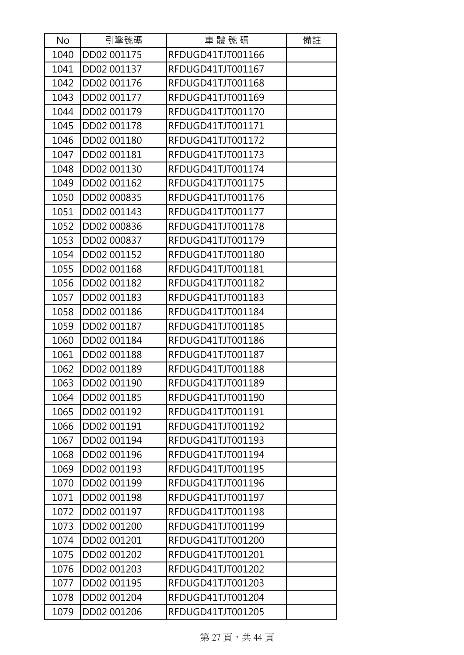| <b>No</b> | 引擎號碼        | 車體號碼              | 備註 |
|-----------|-------------|-------------------|----|
| 1040      | DD02 001175 | RFDUGD41TJT001166 |    |
| 1041      | DD02 001137 | RFDUGD41TJT001167 |    |
| 1042      | DD02 001176 | RFDUGD41TJT001168 |    |
| 1043      | DD02 001177 | RFDUGD41TJT001169 |    |
| 1044      | DD02 001179 | RFDUGD41TJT001170 |    |
| 1045      | DD02 001178 | RFDUGD41TJT001171 |    |
| 1046      | DD02 001180 | RFDUGD41TJT001172 |    |
| 1047      | DD02 001181 | RFDUGD41TJT001173 |    |
| 1048      | DD02 001130 | RFDUGD41TJT001174 |    |
| 1049      | DD02 001162 | RFDUGD41TJT001175 |    |
| 1050      | DD02 000835 | RFDUGD41TJT001176 |    |
| 1051      | DD02 001143 | RFDUGD41TJT001177 |    |
| 1052      | DD02 000836 | RFDUGD41TJT001178 |    |
| 1053      | DD02 000837 | RFDUGD41TJT001179 |    |
| 1054      | DD02 001152 | RFDUGD41TJT001180 |    |
| 1055      | DD02 001168 | RFDUGD41TJT001181 |    |
| 1056      | DD02 001182 | RFDUGD41TJT001182 |    |
| 1057      | DD02 001183 | RFDUGD41TJT001183 |    |
| 1058      | DD02 001186 | RFDUGD41TJT001184 |    |
| 1059      | DD02 001187 | RFDUGD41TJT001185 |    |
| 1060      | DD02 001184 | RFDUGD41TJT001186 |    |
| 1061      | DD02 001188 | RFDUGD41TJT001187 |    |
| 1062      | DD02 001189 | RFDUGD41TJT001188 |    |
| 1063      | DD02 001190 | RFDUGD41TJT001189 |    |
| 1064      | DD02 001185 | RFDUGD41TJT001190 |    |
| 1065      | DD02 001192 | RFDUGD41TJT001191 |    |
| 1066      | DD02 001191 | RFDUGD41TJT001192 |    |
| 1067      | DD02 001194 | RFDUGD41TJT001193 |    |
| 1068      | DD02 001196 | RFDUGD41TJT001194 |    |
| 1069      | DD02 001193 | RFDUGD41TJT001195 |    |
| 1070      | DD02 001199 | RFDUGD41TJT001196 |    |
| 1071      | DD02 001198 | RFDUGD41TJT001197 |    |
| 1072      | DD02 001197 | RFDUGD41TJT001198 |    |
| 1073      | DD02 001200 | RFDUGD41TJT001199 |    |
| 1074      | DD02 001201 | RFDUGD41TJT001200 |    |
| 1075      | DD02 001202 | RFDUGD41TJT001201 |    |
| 1076      | DD02 001203 | RFDUGD41TJT001202 |    |
| 1077      | DD02 001195 | RFDUGD41TJT001203 |    |
| 1078      | DD02 001204 | RFDUGD41TJT001204 |    |
| 1079      | DD02 001206 | RFDUGD41TJT001205 |    |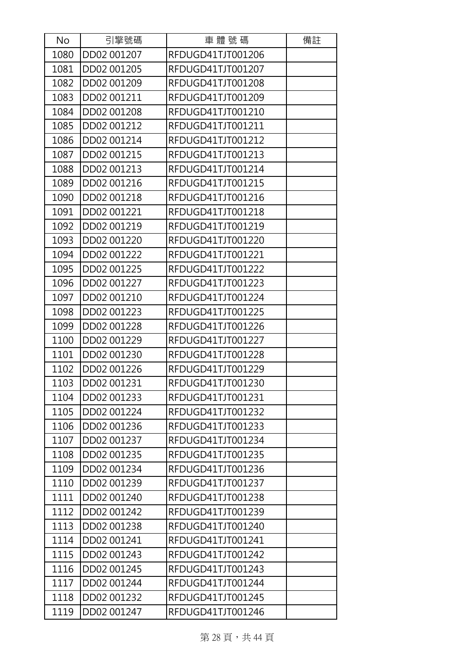| No   | 引擎號碼        | 車體號碼              | 備註 |
|------|-------------|-------------------|----|
| 1080 | DD02 001207 | RFDUGD41TJT001206 |    |
| 1081 | DD02 001205 | RFDUGD41TJT001207 |    |
| 1082 | DD02 001209 | RFDUGD41TJT001208 |    |
| 1083 | DD02 001211 | RFDUGD41TJT001209 |    |
| 1084 | DD02 001208 | RFDUGD41TJT001210 |    |
| 1085 | DD02 001212 | RFDUGD41TJT001211 |    |
| 1086 | DD02 001214 | RFDUGD41TJT001212 |    |
| 1087 | DD02 001215 | RFDUGD41TJT001213 |    |
| 1088 | DD02 001213 | RFDUGD41TJT001214 |    |
| 1089 | DD02 001216 | RFDUGD41TJT001215 |    |
| 1090 | DD02 001218 | RFDUGD41TJT001216 |    |
| 1091 | DD02 001221 | RFDUGD41TJT001218 |    |
| 1092 | DD02 001219 | RFDUGD41TJT001219 |    |
| 1093 | DD02 001220 | RFDUGD41TJT001220 |    |
| 1094 | DD02 001222 | RFDUGD41TJT001221 |    |
| 1095 | DD02 001225 | RFDUGD41TJT001222 |    |
| 1096 | DD02 001227 | RFDUGD41TJT001223 |    |
| 1097 | DD02 001210 | RFDUGD41TJT001224 |    |
| 1098 | DD02 001223 | RFDUGD41TJT001225 |    |
| 1099 | DD02 001228 | RFDUGD41TJT001226 |    |
| 1100 | DD02 001229 | RFDUGD41TJT001227 |    |
| 1101 | DD02 001230 | RFDUGD41TJT001228 |    |
| 1102 | DD02 001226 | RFDUGD41TJT001229 |    |
| 1103 | DD02 001231 | RFDUGD41TJT001230 |    |
| 1104 | DD02 001233 | RFDUGD41TJT001231 |    |
| 1105 | DD02 001224 | RFDUGD41TJT001232 |    |
| 1106 | DD02 001236 | RFDUGD41TJT001233 |    |
| 1107 | DD02 001237 | RFDUGD41TJT001234 |    |
| 1108 | DD02 001235 | RFDUGD41TJT001235 |    |
| 1109 | DD02 001234 | RFDUGD41TJT001236 |    |
| 1110 | DD02 001239 | RFDUGD41TJT001237 |    |
| 1111 | DD02 001240 | RFDUGD41TJT001238 |    |
| 1112 | DD02 001242 | RFDUGD41TJT001239 |    |
| 1113 | DD02 001238 | RFDUGD41TJT001240 |    |
| 1114 | DD02 001241 | RFDUGD41TJT001241 |    |
| 1115 | DD02 001243 | RFDUGD41TJT001242 |    |
| 1116 | DD02 001245 | RFDUGD41TJT001243 |    |
| 1117 | DD02 001244 | RFDUGD41TJT001244 |    |
| 1118 | DD02 001232 | RFDUGD41TJT001245 |    |
| 1119 | DD02 001247 | RFDUGD41TJT001246 |    |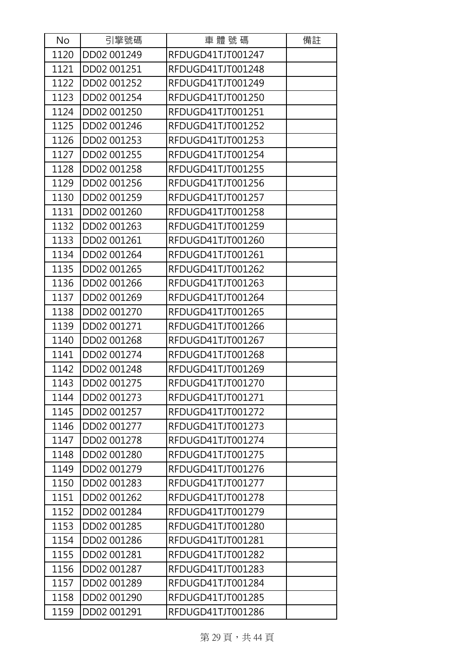| No   | 引擎號碼        | 車體號碼              | 備註 |
|------|-------------|-------------------|----|
| 1120 | DD02 001249 | RFDUGD41TJT001247 |    |
| 1121 | DD02 001251 | RFDUGD41TJT001248 |    |
| 1122 | DD02 001252 | RFDUGD41TJT001249 |    |
| 1123 | DD02 001254 | RFDUGD41TJT001250 |    |
| 1124 | DD02 001250 | RFDUGD41TJT001251 |    |
| 1125 | DD02 001246 | RFDUGD41TJT001252 |    |
| 1126 | DD02 001253 | RFDUGD41TJT001253 |    |
| 1127 | DD02 001255 | RFDUGD41TJT001254 |    |
| 1128 | DD02 001258 | RFDUGD41TJT001255 |    |
| 1129 | DD02 001256 | RFDUGD41TJT001256 |    |
| 1130 | DD02 001259 | RFDUGD41TJT001257 |    |
| 1131 | DD02 001260 | RFDUGD41TJT001258 |    |
| 1132 | DD02 001263 | RFDUGD41TJT001259 |    |
| 1133 | DD02 001261 | RFDUGD41TJT001260 |    |
| 1134 | DD02 001264 | RFDUGD41TJT001261 |    |
| 1135 | DD02 001265 | RFDUGD41TJT001262 |    |
| 1136 | DD02 001266 | RFDUGD41TJT001263 |    |
| 1137 | DD02 001269 | RFDUGD41TJT001264 |    |
| 1138 | DD02 001270 | RFDUGD41TJT001265 |    |
| 1139 | DD02 001271 | RFDUGD41TJT001266 |    |
| 1140 | DD02 001268 | RFDUGD41TJT001267 |    |
| 1141 | DD02 001274 | RFDUGD41TJT001268 |    |
| 1142 | DD02 001248 | RFDUGD41TJT001269 |    |
| 1143 | DD02 001275 | RFDUGD41TJT001270 |    |
| 1144 | DD02 001273 | RFDUGD41TJT001271 |    |
| 1145 | DD02 001257 | RFDUGD41TJT001272 |    |
| 1146 | DD02 001277 | RFDUGD41TJT001273 |    |
| 1147 | DD02 001278 | RFDUGD41TJT001274 |    |
| 1148 | DD02 001280 | RFDUGD41TJT001275 |    |
| 1149 | DD02 001279 | RFDUGD41TJT001276 |    |
| 1150 | DD02 001283 | RFDUGD41TJT001277 |    |
| 1151 | DD02 001262 | RFDUGD41TJT001278 |    |
| 1152 | DD02 001284 | RFDUGD41TJT001279 |    |
| 1153 | DD02 001285 | RFDUGD41TJT001280 |    |
| 1154 | DD02 001286 | RFDUGD41TJT001281 |    |
| 1155 | DD02 001281 | RFDUGD41TJT001282 |    |
| 1156 | DD02 001287 | RFDUGD41TJT001283 |    |
| 1157 | DD02 001289 | RFDUGD41TJT001284 |    |
| 1158 | DD02 001290 | RFDUGD41TJT001285 |    |
| 1159 | DD02 001291 | RFDUGD41TJT001286 |    |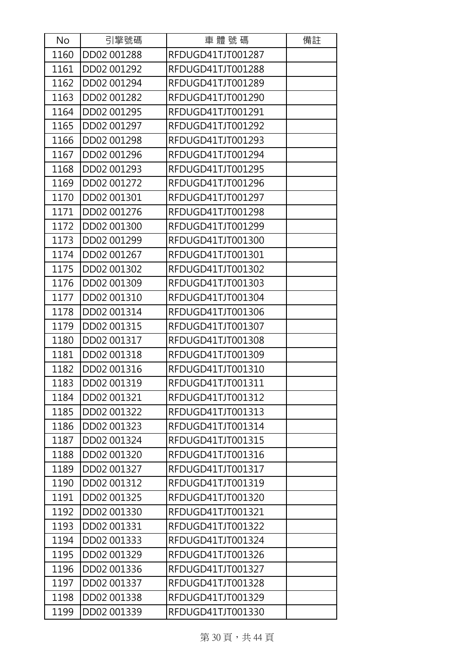| No   | 引擎號碼        | 車體號碼              | 備註 |
|------|-------------|-------------------|----|
| 1160 | DD02 001288 | RFDUGD41TJT001287 |    |
| 1161 | DD02 001292 | RFDUGD41TJT001288 |    |
| 1162 | DD02 001294 | RFDUGD41TJT001289 |    |
| 1163 | DD02 001282 | RFDUGD41TJT001290 |    |
| 1164 | DD02 001295 | RFDUGD41TJT001291 |    |
| 1165 | DD02 001297 | RFDUGD41TJT001292 |    |
| 1166 | DD02 001298 | RFDUGD41TJT001293 |    |
| 1167 | DD02 001296 | RFDUGD41TJT001294 |    |
| 1168 | DD02 001293 | RFDUGD41TJT001295 |    |
| 1169 | DD02 001272 | RFDUGD41TJT001296 |    |
| 1170 | DD02 001301 | RFDUGD41TJT001297 |    |
| 1171 | DD02 001276 | RFDUGD41TJT001298 |    |
| 1172 | DD02 001300 | RFDUGD41TJT001299 |    |
| 1173 | DD02 001299 | RFDUGD41TJT001300 |    |
| 1174 | DD02 001267 | RFDUGD41TJT001301 |    |
| 1175 | DD02 001302 | RFDUGD41TJT001302 |    |
| 1176 | DD02 001309 | RFDUGD41TJT001303 |    |
| 1177 | DD02 001310 | RFDUGD41TJT001304 |    |
| 1178 | DD02 001314 | RFDUGD41TJT001306 |    |
| 1179 | DD02 001315 | RFDUGD41TJT001307 |    |
| 1180 | DD02 001317 | RFDUGD41TJT001308 |    |
| 1181 | DD02 001318 | RFDUGD41TJT001309 |    |
| 1182 | DD02 001316 | RFDUGD41TJT001310 |    |
| 1183 | DD02 001319 | RFDUGD41TJT001311 |    |
| 1184 | DD02 001321 | RFDUGD41TJT001312 |    |
| 1185 | DD02 001322 | RFDUGD41TJT001313 |    |
| 1186 | DD02 001323 | RFDUGD41TJT001314 |    |
| 1187 | DD02 001324 | RFDUGD41TJT001315 |    |
| 1188 | DD02 001320 | RFDUGD41TJT001316 |    |
| 1189 | DD02 001327 | RFDUGD41TJT001317 |    |
| 1190 | DD02 001312 | RFDUGD41TJT001319 |    |
| 1191 | DD02 001325 | RFDUGD41TJT001320 |    |
| 1192 | DD02 001330 | RFDUGD41TJT001321 |    |
| 1193 | DD02 001331 | RFDUGD41TJT001322 |    |
| 1194 | DD02 001333 | RFDUGD41TJT001324 |    |
| 1195 | DD02 001329 | RFDUGD41TJT001326 |    |
| 1196 | DD02 001336 | RFDUGD41TJT001327 |    |
| 1197 | DD02 001337 | RFDUGD41TJT001328 |    |
| 1198 | DD02 001338 | RFDUGD41TJT001329 |    |
| 1199 | DD02 001339 | RFDUGD41TJT001330 |    |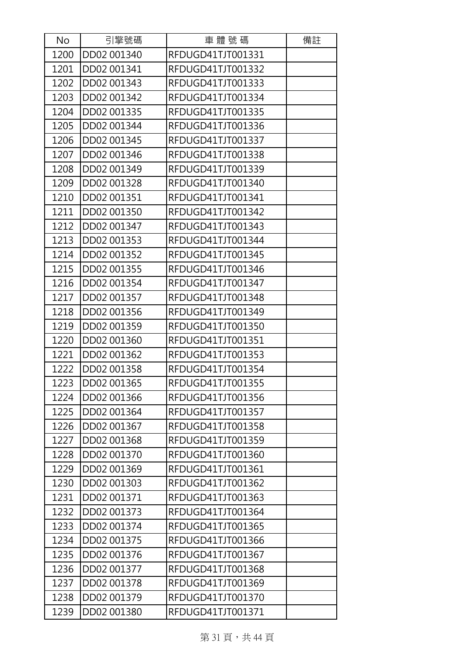| No   | 引擎號碼        | 車體號碼              | 備註 |
|------|-------------|-------------------|----|
| 1200 | DD02 001340 | RFDUGD41TJT001331 |    |
| 1201 | DD02 001341 | RFDUGD41TJT001332 |    |
| 1202 | DD02 001343 | RFDUGD41TJT001333 |    |
| 1203 | DD02 001342 | RFDUGD41TJT001334 |    |
| 1204 | DD02 001335 | RFDUGD41TJT001335 |    |
| 1205 | DD02 001344 | RFDUGD41TJT001336 |    |
| 1206 | DD02 001345 | RFDUGD41TJT001337 |    |
| 1207 | DD02 001346 | RFDUGD41TJT001338 |    |
| 1208 | DD02 001349 | RFDUGD41TJT001339 |    |
| 1209 | DD02 001328 | RFDUGD41TJT001340 |    |
| 1210 | DD02 001351 | RFDUGD41TJT001341 |    |
| 1211 | DD02 001350 | RFDUGD41TJT001342 |    |
| 1212 | DD02 001347 | RFDUGD41TJT001343 |    |
| 1213 | DD02 001353 | RFDUGD41TJT001344 |    |
| 1214 | DD02 001352 | RFDUGD41TJT001345 |    |
| 1215 | DD02 001355 | RFDUGD41TJT001346 |    |
| 1216 | DD02 001354 | RFDUGD41TJT001347 |    |
| 1217 | DD02 001357 | RFDUGD41TJT001348 |    |
| 1218 | DD02 001356 | RFDUGD41TJT001349 |    |
| 1219 | DD02 001359 | RFDUGD41TJT001350 |    |
| 1220 | DD02 001360 | RFDUGD41TJT001351 |    |
| 1221 | DD02 001362 | RFDUGD41TJT001353 |    |
| 1222 | DD02 001358 | RFDUGD41TJT001354 |    |
| 1223 | DD02 001365 | RFDUGD41TJT001355 |    |
| 1224 | DD02 001366 | RFDUGD41TJT001356 |    |
| 1225 | DD02 001364 | RFDUGD41TJT001357 |    |
| 1226 | DD02 001367 | RFDUGD41TJT001358 |    |
| 1227 | DD02 001368 | RFDUGD41TJT001359 |    |
| 1228 | DD02 001370 | RFDUGD41TJT001360 |    |
| 1229 | DD02 001369 | RFDUGD41TJT001361 |    |
| 1230 | DD02 001303 | RFDUGD41TJT001362 |    |
| 1231 | DD02 001371 | RFDUGD41TJT001363 |    |
| 1232 | DD02 001373 | RFDUGD41TJT001364 |    |
| 1233 | DD02 001374 | RFDUGD41TJT001365 |    |
| 1234 | DD02 001375 | RFDUGD41TJT001366 |    |
| 1235 | DD02 001376 | RFDUGD41TJT001367 |    |
| 1236 | DD02 001377 | RFDUGD41TJT001368 |    |
| 1237 | DD02 001378 | RFDUGD41TJT001369 |    |
| 1238 | DD02 001379 | RFDUGD41TJT001370 |    |
| 1239 | DD02 001380 | RFDUGD41TJT001371 |    |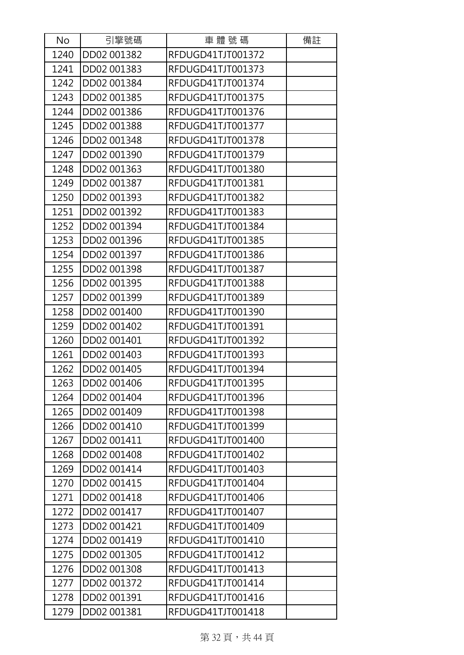| No   | 引擎號碼        | 車體號碼              | 備註 |
|------|-------------|-------------------|----|
| 1240 | DD02 001382 | RFDUGD41TJT001372 |    |
| 1241 | DD02 001383 | RFDUGD41TJT001373 |    |
| 1242 | DD02 001384 | RFDUGD41TJT001374 |    |
| 1243 | DD02 001385 | RFDUGD41TJT001375 |    |
| 1244 | DD02 001386 | RFDUGD41TJT001376 |    |
| 1245 | DD02 001388 | RFDUGD41TJT001377 |    |
| 1246 | DD02 001348 | RFDUGD41TJT001378 |    |
| 1247 | DD02 001390 | RFDUGD41TJT001379 |    |
| 1248 | DD02 001363 | RFDUGD41TJT001380 |    |
| 1249 | DD02 001387 | RFDUGD41TJT001381 |    |
| 1250 | DD02 001393 | RFDUGD41TJT001382 |    |
| 1251 | DD02 001392 | RFDUGD41TJT001383 |    |
| 1252 | DD02 001394 | RFDUGD41TJT001384 |    |
| 1253 | DD02 001396 | RFDUGD41TJT001385 |    |
| 1254 | DD02 001397 | RFDUGD41TJT001386 |    |
| 1255 | DD02 001398 | RFDUGD41TJT001387 |    |
| 1256 | DD02 001395 | RFDUGD41TJT001388 |    |
| 1257 | DD02 001399 | RFDUGD41TJT001389 |    |
| 1258 | DD02 001400 | RFDUGD41TJT001390 |    |
| 1259 | DD02 001402 | RFDUGD41TJT001391 |    |
| 1260 | DD02 001401 | RFDUGD41TJT001392 |    |
| 1261 | DD02 001403 | RFDUGD41TJT001393 |    |
| 1262 | DD02 001405 | RFDUGD41TJT001394 |    |
| 1263 | DD02 001406 | RFDUGD41TJT001395 |    |
| 1264 | DD02 001404 | RFDUGD41TJT001396 |    |
| 1265 | DD02 001409 | RFDUGD41TJT001398 |    |
| 1266 | DD02 001410 | RFDUGD41TJT001399 |    |
| 1267 | DD02 001411 | RFDUGD41TJT001400 |    |
| 1268 | DD02 001408 | RFDUGD41TJT001402 |    |
| 1269 | DD02 001414 | RFDUGD41TJT001403 |    |
| 1270 | DD02 001415 | RFDUGD41TJT001404 |    |
| 1271 | DD02 001418 | RFDUGD41TJT001406 |    |
| 1272 | DD02 001417 | RFDUGD41TJT001407 |    |
| 1273 | DD02 001421 | RFDUGD41TJT001409 |    |
| 1274 | DD02 001419 | RFDUGD41TJT001410 |    |
| 1275 | DD02 001305 | RFDUGD41TJT001412 |    |
| 1276 | DD02 001308 | RFDUGD41TJT001413 |    |
| 1277 | DD02 001372 | RFDUGD41TJT001414 |    |
| 1278 | DD02 001391 | RFDUGD41TJT001416 |    |
| 1279 | DD02 001381 | RFDUGD41TJT001418 |    |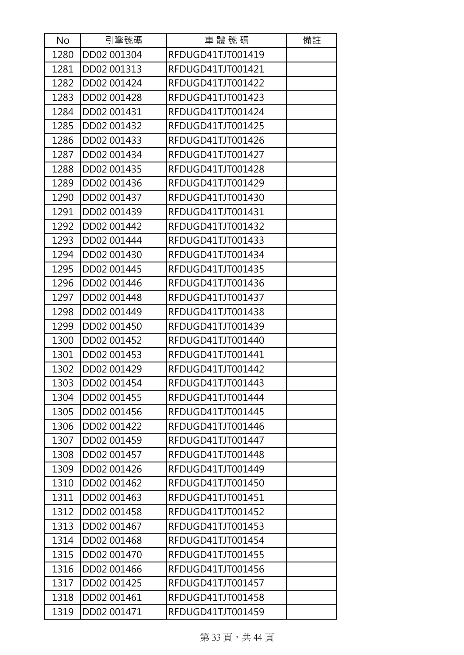| No   | 引擎號碼        | 車體號碼              | 備註 |
|------|-------------|-------------------|----|
| 1280 | DD02 001304 | RFDUGD41TJT001419 |    |
| 1281 | DD02 001313 | RFDUGD41TJT001421 |    |
| 1282 | DD02 001424 | RFDUGD41TJT001422 |    |
| 1283 | DD02 001428 | RFDUGD41TJT001423 |    |
| 1284 | DD02 001431 | RFDUGD41TJT001424 |    |
| 1285 | DD02 001432 | RFDUGD41TJT001425 |    |
| 1286 | DD02 001433 | RFDUGD41TJT001426 |    |
| 1287 | DD02 001434 | RFDUGD41TJT001427 |    |
| 1288 | DD02 001435 | RFDUGD41TJT001428 |    |
| 1289 | DD02 001436 | RFDUGD41TJT001429 |    |
| 1290 | DD02 001437 | RFDUGD41TJT001430 |    |
| 1291 | DD02 001439 | RFDUGD41TJT001431 |    |
| 1292 | DD02 001442 | RFDUGD41TJT001432 |    |
| 1293 | DD02 001444 | RFDUGD41TJT001433 |    |
| 1294 | DD02 001430 | RFDUGD41TJT001434 |    |
| 1295 | DD02 001445 | RFDUGD41TJT001435 |    |
| 1296 | DD02 001446 | RFDUGD41TJT001436 |    |
| 1297 | DD02 001448 | RFDUGD41TJT001437 |    |
| 1298 | DD02 001449 | RFDUGD41TJT001438 |    |
| 1299 | DD02 001450 | RFDUGD41TJT001439 |    |
| 1300 | DD02 001452 | RFDUGD41TJT001440 |    |
| 1301 | DD02 001453 | RFDUGD41TJT001441 |    |
| 1302 | DD02 001429 | RFDUGD41TJT001442 |    |
| 1303 | DD02 001454 | RFDUGD41TJT001443 |    |
| 1304 | DD02 001455 | RFDUGD41TJT001444 |    |
| 1305 | DD02 001456 | RFDUGD41TJT001445 |    |
| 1306 | DD02 001422 | RFDUGD41TJT001446 |    |
| 1307 | DD02 001459 | RFDUGD41TJT001447 |    |
| 1308 | DD02 001457 | RFDUGD41TJT001448 |    |
| 1309 | DD02 001426 | RFDUGD41TJT001449 |    |
| 1310 | DD02 001462 | RFDUGD41TJT001450 |    |
| 1311 | DD02 001463 | RFDUGD41TJT001451 |    |
| 1312 | DD02 001458 | RFDUGD41TJT001452 |    |
| 1313 | DD02 001467 | RFDUGD41TJT001453 |    |
| 1314 | DD02 001468 | RFDUGD41TJT001454 |    |
| 1315 | DD02 001470 | RFDUGD41TJT001455 |    |
| 1316 | DD02 001466 | RFDUGD41TJT001456 |    |
| 1317 | DD02 001425 | RFDUGD41TJT001457 |    |
| 1318 | DD02 001461 | RFDUGD41TJT001458 |    |
| 1319 | DD02 001471 | RFDUGD41TJT001459 |    |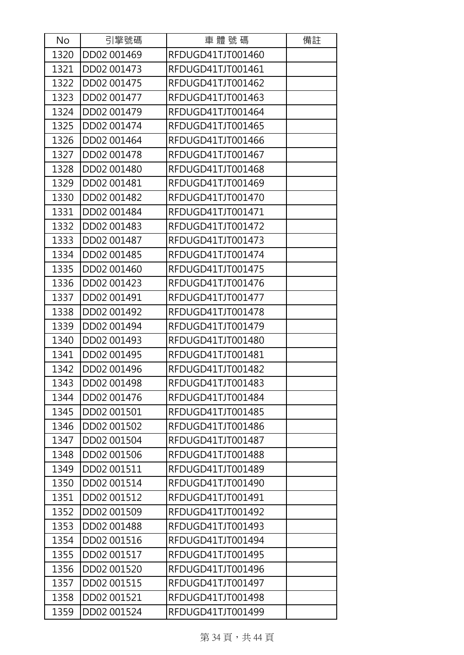| No   | 引擎號碼        | 車體號碼              | 備註 |
|------|-------------|-------------------|----|
| 1320 | DD02 001469 | RFDUGD41TJT001460 |    |
| 1321 | DD02 001473 | RFDUGD41TJT001461 |    |
| 1322 | DD02 001475 | RFDUGD41TJT001462 |    |
| 1323 | DD02 001477 | RFDUGD41TJT001463 |    |
| 1324 | DD02 001479 | RFDUGD41TJT001464 |    |
| 1325 | DD02 001474 | RFDUGD41TJT001465 |    |
| 1326 | DD02 001464 | RFDUGD41TJT001466 |    |
| 1327 | DD02 001478 | RFDUGD41TJT001467 |    |
| 1328 | DD02 001480 | RFDUGD41TJT001468 |    |
| 1329 | DD02 001481 | RFDUGD41TJT001469 |    |
| 1330 | DD02 001482 | RFDUGD41TJT001470 |    |
| 1331 | DD02 001484 | RFDUGD41TJT001471 |    |
| 1332 | DD02 001483 | RFDUGD41TJT001472 |    |
| 1333 | DD02 001487 | RFDUGD41TJT001473 |    |
| 1334 | DD02 001485 | RFDUGD41TJT001474 |    |
| 1335 | DD02 001460 | RFDUGD41TJT001475 |    |
| 1336 | DD02 001423 | RFDUGD41TJT001476 |    |
| 1337 | DD02 001491 | RFDUGD41TJT001477 |    |
| 1338 | DD02 001492 | RFDUGD41TJT001478 |    |
| 1339 | DD02 001494 | RFDUGD41TJT001479 |    |
| 1340 | DD02 001493 | RFDUGD41TJT001480 |    |
| 1341 | DD02 001495 | RFDUGD41TJT001481 |    |
| 1342 | DD02 001496 | RFDUGD41TJT001482 |    |
| 1343 | DD02 001498 | RFDUGD41TJT001483 |    |
| 1344 | DD02 001476 | RFDUGD41TJT001484 |    |
| 1345 | DD02 001501 | RFDUGD41TJT001485 |    |
| 1346 | DD02 001502 | RFDUGD41TJT001486 |    |
| 1347 | DD02 001504 | RFDUGD41TJT001487 |    |
| 1348 | DD02 001506 | RFDUGD41TJT001488 |    |
| 1349 | DD02 001511 | RFDUGD41TJT001489 |    |
| 1350 | DD02 001514 | RFDUGD41TJT001490 |    |
| 1351 | DD02 001512 | RFDUGD41TJT001491 |    |
| 1352 | DD02 001509 | RFDUGD41TJT001492 |    |
| 1353 | DD02 001488 | RFDUGD41TJT001493 |    |
| 1354 | DD02 001516 | RFDUGD41TJT001494 |    |
| 1355 | DD02 001517 | RFDUGD41TJT001495 |    |
| 1356 | DD02 001520 | RFDUGD41TJT001496 |    |
| 1357 | DD02 001515 | RFDUGD41TJT001497 |    |
| 1358 | DD02 001521 | RFDUGD41TJT001498 |    |
| 1359 | DD02 001524 | RFDUGD41TJT001499 |    |

第 34 頁,共 44 頁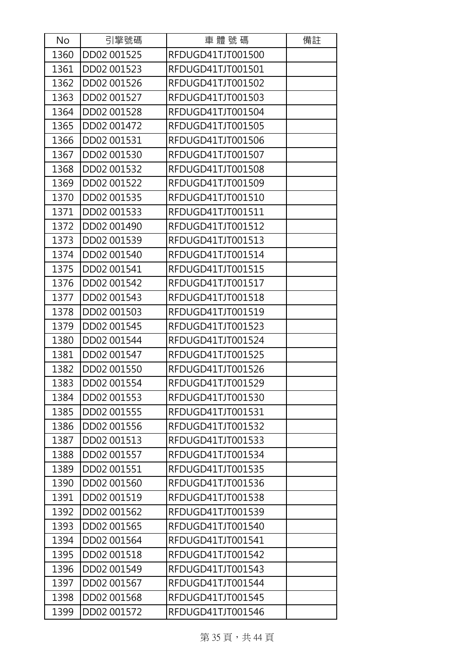| No   | 引擎號碼        | 車體號碼              | 備註 |
|------|-------------|-------------------|----|
| 1360 | DD02 001525 | RFDUGD41TJT001500 |    |
| 1361 | DD02 001523 | RFDUGD41TJT001501 |    |
| 1362 | DD02 001526 | RFDUGD41TJT001502 |    |
| 1363 | DD02 001527 | RFDUGD41TJT001503 |    |
| 1364 | DD02 001528 | RFDUGD41TJT001504 |    |
| 1365 | DD02 001472 | RFDUGD41TJT001505 |    |
| 1366 | DD02 001531 | RFDUGD41TJT001506 |    |
| 1367 | DD02 001530 | RFDUGD41TJT001507 |    |
| 1368 | DD02 001532 | RFDUGD41TJT001508 |    |
| 1369 | DD02 001522 | RFDUGD41TJT001509 |    |
| 1370 | DD02 001535 | RFDUGD41TJT001510 |    |
| 1371 | DD02 001533 | RFDUGD41TJT001511 |    |
| 1372 | DD02 001490 | RFDUGD41TJT001512 |    |
| 1373 | DD02 001539 | RFDUGD41TJT001513 |    |
| 1374 | DD02 001540 | RFDUGD41TJT001514 |    |
| 1375 | DD02 001541 | RFDUGD41TJT001515 |    |
| 1376 | DD02 001542 | RFDUGD41TJT001517 |    |
| 1377 | DD02 001543 | RFDUGD41TJT001518 |    |
| 1378 | DD02 001503 | RFDUGD41TJT001519 |    |
| 1379 | DD02 001545 | RFDUGD41TJT001523 |    |
| 1380 | DD02 001544 | RFDUGD41TJT001524 |    |
| 1381 | DD02 001547 | RFDUGD41TJT001525 |    |
| 1382 | DD02 001550 | RFDUGD41TJT001526 |    |
| 1383 | DD02 001554 | RFDUGD41TJT001529 |    |
| 1384 | DD02 001553 | RFDUGD41TJT001530 |    |
| 1385 | DD02 001555 | RFDUGD41TJT001531 |    |
| 1386 | DD02 001556 | RFDUGD41TJT001532 |    |
| 1387 | DD02 001513 | RFDUGD41TJT001533 |    |
| 1388 | DD02 001557 | RFDUGD41TJT001534 |    |
| 1389 | DD02 001551 | RFDUGD41TJT001535 |    |
| 1390 | DD02 001560 | RFDUGD41TJT001536 |    |
| 1391 | DD02 001519 | RFDUGD41TJT001538 |    |
| 1392 | DD02 001562 | RFDUGD41TJT001539 |    |
| 1393 | DD02 001565 | RFDUGD41TJT001540 |    |
| 1394 | DD02 001564 | RFDUGD41TJT001541 |    |
| 1395 | DD02 001518 | RFDUGD41TJT001542 |    |
| 1396 | DD02 001549 | RFDUGD41TJT001543 |    |
| 1397 | DD02 001567 | RFDUGD41TJT001544 |    |
| 1398 | DD02 001568 | RFDUGD41TJT001545 |    |
| 1399 | DD02 001572 | RFDUGD41TJT001546 |    |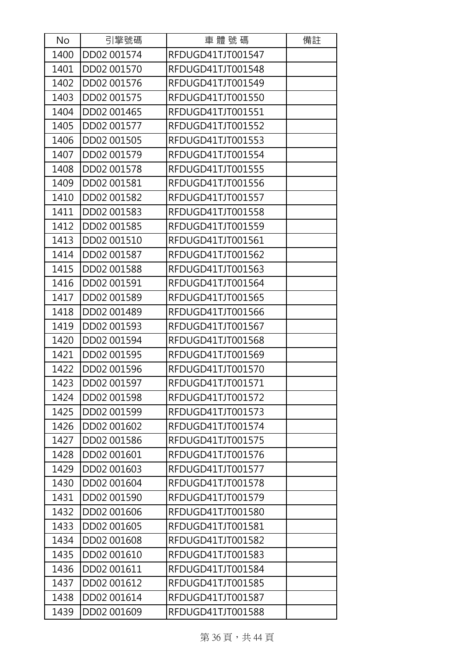| No   | 引擎號碼        | 車體號碼              | 備註 |
|------|-------------|-------------------|----|
| 1400 | DD02 001574 | RFDUGD41TJT001547 |    |
| 1401 | DD02 001570 | RFDUGD41TJT001548 |    |
| 1402 | DD02 001576 | RFDUGD41TJT001549 |    |
| 1403 | DD02 001575 | RFDUGD41TJT001550 |    |
| 1404 | DD02 001465 | RFDUGD41TJT001551 |    |
| 1405 | DD02 001577 | RFDUGD41TJT001552 |    |
| 1406 | DD02 001505 | RFDUGD41TJT001553 |    |
| 1407 | DD02 001579 | RFDUGD41TJT001554 |    |
| 1408 | DD02 001578 | RFDUGD41TJT001555 |    |
| 1409 | DD02 001581 | RFDUGD41TJT001556 |    |
| 1410 | DD02 001582 | RFDUGD41TJT001557 |    |
| 1411 | DD02 001583 | RFDUGD41TJT001558 |    |
| 1412 | DD02 001585 | RFDUGD41TJT001559 |    |
| 1413 | DD02 001510 | RFDUGD41TJT001561 |    |
| 1414 | DD02 001587 | RFDUGD41TJT001562 |    |
| 1415 | DD02 001588 | RFDUGD41TJT001563 |    |
| 1416 | DD02 001591 | RFDUGD41TJT001564 |    |
| 1417 | DD02 001589 | RFDUGD41TJT001565 |    |
| 1418 | DD02 001489 | RFDUGD41TJT001566 |    |
| 1419 | DD02 001593 | RFDUGD41TJT001567 |    |
| 1420 | DD02 001594 | RFDUGD41TJT001568 |    |
| 1421 | DD02 001595 | RFDUGD41TJT001569 |    |
| 1422 | DD02 001596 | RFDUGD41TJT001570 |    |
| 1423 | DD02 001597 | RFDUGD41TJT001571 |    |
| 1424 | DD02 001598 | RFDUGD41TJT001572 |    |
| 1425 | DD02 001599 | RFDUGD41TJT001573 |    |
| 1426 | DD02 001602 | RFDUGD41TJT001574 |    |
| 1427 | DD02 001586 | RFDUGD41TJT001575 |    |
| 1428 | DD02 001601 | RFDUGD41TJT001576 |    |
| 1429 | DD02 001603 | RFDUGD41TJT001577 |    |
| 1430 | DD02 001604 | RFDUGD41TJT001578 |    |
| 1431 | DD02 001590 | RFDUGD41TJT001579 |    |
| 1432 | DD02 001606 | RFDUGD41TJT001580 |    |
| 1433 | DD02 001605 | RFDUGD41TJT001581 |    |
| 1434 | DD02 001608 | RFDUGD41TJT001582 |    |
| 1435 | DD02 001610 | RFDUGD41TJT001583 |    |
| 1436 | DD02 001611 | RFDUGD41TJT001584 |    |
| 1437 | DD02 001612 | RFDUGD41TJT001585 |    |
| 1438 | DD02 001614 | RFDUGD41TJT001587 |    |
| 1439 | DD02 001609 | RFDUGD41TJT001588 |    |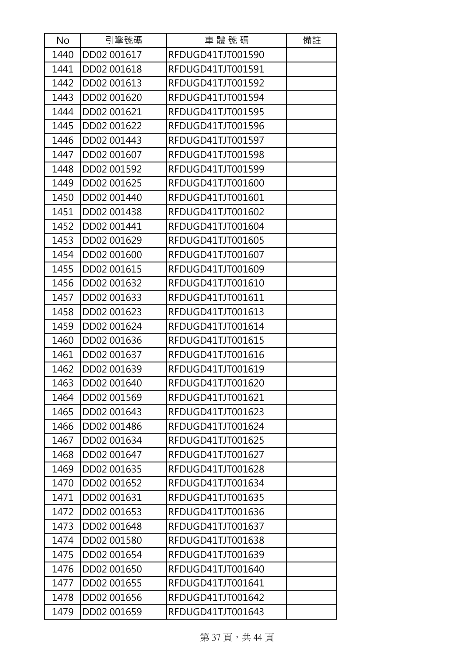| No   | 引擎號碼        | 車體號碼              | 備註 |
|------|-------------|-------------------|----|
| 1440 | DD02 001617 | RFDUGD41TJT001590 |    |
| 1441 | DD02 001618 | RFDUGD41TJT001591 |    |
| 1442 | DD02 001613 | RFDUGD41TJT001592 |    |
| 1443 | DD02 001620 | RFDUGD41TJT001594 |    |
| 1444 | DD02 001621 | RFDUGD41TJT001595 |    |
| 1445 | DD02 001622 | RFDUGD41TJT001596 |    |
| 1446 | DD02 001443 | RFDUGD41TJT001597 |    |
| 1447 | DD02 001607 | RFDUGD41TJT001598 |    |
| 1448 | DD02 001592 | RFDUGD41TJT001599 |    |
| 1449 | DD02 001625 | RFDUGD41TJT001600 |    |
| 1450 | DD02 001440 | RFDUGD41TJT001601 |    |
| 1451 | DD02 001438 | RFDUGD41TJT001602 |    |
| 1452 | DD02 001441 | RFDUGD41TJT001604 |    |
| 1453 | DD02 001629 | RFDUGD41TJT001605 |    |
| 1454 | DD02 001600 | RFDUGD41TJT001607 |    |
| 1455 | DD02 001615 | RFDUGD41TJT001609 |    |
| 1456 | DD02 001632 | RFDUGD41TJT001610 |    |
| 1457 | DD02 001633 | RFDUGD41TJT001611 |    |
| 1458 | DD02 001623 | RFDUGD41TJT001613 |    |
| 1459 | DD02 001624 | RFDUGD41TJT001614 |    |
| 1460 | DD02 001636 | RFDUGD41TJT001615 |    |
| 1461 | DD02 001637 | RFDUGD41TJT001616 |    |
| 1462 | DD02 001639 | RFDUGD41TJT001619 |    |
| 1463 | DD02 001640 | RFDUGD41TJT001620 |    |
| 1464 | DD02 001569 | RFDUGD41TJT001621 |    |
| 1465 | DD02 001643 | RFDUGD41TJT001623 |    |
| 1466 | DD02 001486 | RFDUGD41TJT001624 |    |
| 1467 | DD02 001634 | RFDUGD41TJT001625 |    |
| 1468 | DD02 001647 | RFDUGD41TJT001627 |    |
| 1469 | DD02 001635 | RFDUGD41TJT001628 |    |
| 1470 | DD02 001652 | RFDUGD41TJT001634 |    |
| 1471 | DD02 001631 | RFDUGD41TJT001635 |    |
| 1472 | DD02 001653 | RFDUGD41TJT001636 |    |
| 1473 | DD02 001648 | RFDUGD41TJT001637 |    |
| 1474 | DD02 001580 | RFDUGD41TJT001638 |    |
| 1475 | DD02 001654 | RFDUGD41TJT001639 |    |
| 1476 | DD02 001650 | RFDUGD41TJT001640 |    |
| 1477 | DD02 001655 | RFDUGD41TJT001641 |    |
| 1478 | DD02 001656 | RFDUGD41TJT001642 |    |
| 1479 | DD02 001659 | RFDUGD41TJT001643 |    |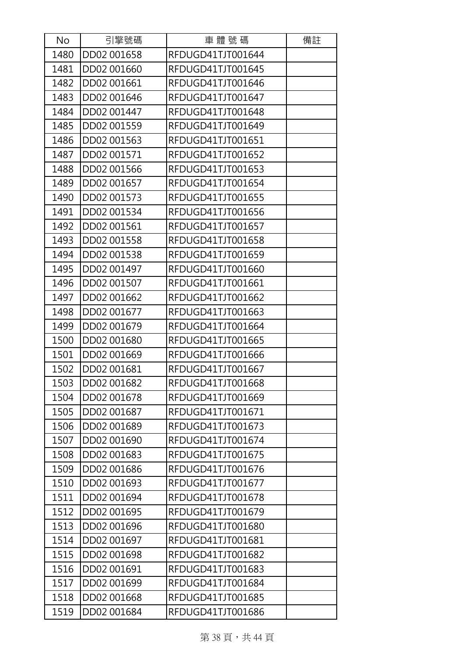| No   | 引擎號碼        | 車體號碼              | 備註 |
|------|-------------|-------------------|----|
| 1480 | DD02 001658 | RFDUGD41TJT001644 |    |
| 1481 | DD02 001660 | RFDUGD41TJT001645 |    |
| 1482 | DD02 001661 | RFDUGD41TJT001646 |    |
| 1483 | DD02 001646 | RFDUGD41TJT001647 |    |
| 1484 | DD02 001447 | RFDUGD41TJT001648 |    |
| 1485 | DD02 001559 | RFDUGD41TJT001649 |    |
| 1486 | DD02 001563 | RFDUGD41TJT001651 |    |
| 1487 | DD02 001571 | RFDUGD41TJT001652 |    |
| 1488 | DD02 001566 | RFDUGD41TJT001653 |    |
| 1489 | DD02 001657 | RFDUGD41TJT001654 |    |
| 1490 | DD02 001573 | RFDUGD41TJT001655 |    |
| 1491 | DD02 001534 | RFDUGD41TJT001656 |    |
| 1492 | DD02 001561 | RFDUGD41TJT001657 |    |
| 1493 | DD02 001558 | RFDUGD41TJT001658 |    |
| 1494 | DD02 001538 | RFDUGD41TJT001659 |    |
| 1495 | DD02 001497 | RFDUGD41TJT001660 |    |
| 1496 | DD02 001507 | RFDUGD41TJT001661 |    |
| 1497 | DD02 001662 | RFDUGD41TJT001662 |    |
| 1498 | DD02 001677 | RFDUGD41TJT001663 |    |
| 1499 | DD02 001679 | RFDUGD41TJT001664 |    |
| 1500 | DD02 001680 | RFDUGD41TJT001665 |    |
| 1501 | DD02 001669 | RFDUGD41TJT001666 |    |
| 1502 | DD02 001681 | RFDUGD41TJT001667 |    |
| 1503 | DD02 001682 | RFDUGD41TJT001668 |    |
| 1504 | DD02 001678 | RFDUGD41TJT001669 |    |
| 1505 | DD02 001687 | RFDUGD41TJT001671 |    |
| 1506 | DD02 001689 | RFDUGD41TJT001673 |    |
| 1507 | DD02 001690 | RFDUGD41TJT001674 |    |
| 1508 | DD02 001683 | RFDUGD41TJT001675 |    |
| 1509 | DD02 001686 | RFDUGD41TJT001676 |    |
| 1510 | DD02 001693 | RFDUGD41TJT001677 |    |
| 1511 | DD02 001694 | RFDUGD41TJT001678 |    |
| 1512 | DD02 001695 | RFDUGD41TJT001679 |    |
| 1513 | DD02 001696 | RFDUGD41TJT001680 |    |
| 1514 | DD02 001697 | RFDUGD41TJT001681 |    |
| 1515 | DD02 001698 | RFDUGD41TJT001682 |    |
| 1516 | DD02 001691 | RFDUGD41TJT001683 |    |
| 1517 | DD02 001699 | RFDUGD41TJT001684 |    |
| 1518 | DD02 001668 | RFDUGD41TJT001685 |    |
| 1519 | DD02 001684 | RFDUGD41TJT001686 |    |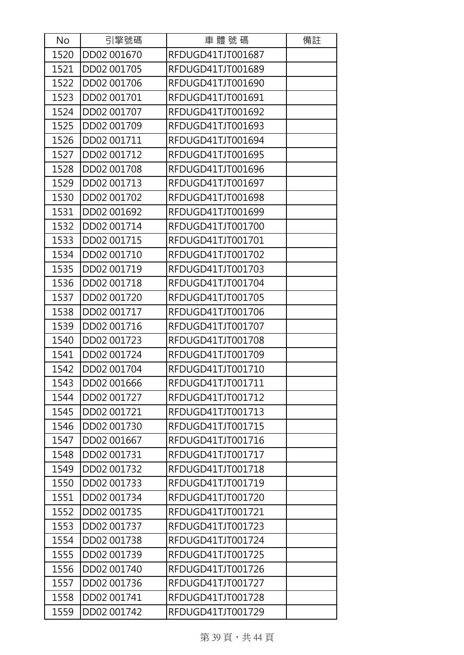| No   | 引擎號碼        | 車體號碼              | 備註 |
|------|-------------|-------------------|----|
| 1520 | DD02 001670 | RFDUGD41TJT001687 |    |
| 1521 | DD02 001705 | RFDUGD41TJT001689 |    |
| 1522 | DD02 001706 | RFDUGD41TJT001690 |    |
| 1523 | DD02 001701 | RFDUGD41TJT001691 |    |
| 1524 | DD02 001707 | RFDUGD41TJT001692 |    |
| 1525 | DD02 001709 | RFDUGD41TJT001693 |    |
| 1526 | DD02 001711 | RFDUGD41TJT001694 |    |
| 1527 | DD02 001712 | RFDUGD41TJT001695 |    |
| 1528 | DD02 001708 | RFDUGD41TJT001696 |    |
| 1529 | DD02 001713 | RFDUGD41TJT001697 |    |
| 1530 | DD02 001702 | RFDUGD41TJT001698 |    |
| 1531 | DD02 001692 | RFDUGD41TJT001699 |    |
| 1532 | DD02 001714 | RFDUGD41TJT001700 |    |
| 1533 | DD02 001715 | RFDUGD41TJT001701 |    |
| 1534 | DD02 001710 | RFDUGD41TJT001702 |    |
| 1535 | DD02 001719 | RFDUGD41TJT001703 |    |
| 1536 | DD02 001718 | RFDUGD41TJT001704 |    |
| 1537 | DD02 001720 | RFDUGD41TJT001705 |    |
| 1538 | DD02 001717 | RFDUGD41TJT001706 |    |
| 1539 | DD02 001716 | RFDUGD41TJT001707 |    |
| 1540 | DD02 001723 | RFDUGD41TJT001708 |    |
| 1541 | DD02 001724 | RFDUGD41TJT001709 |    |
| 1542 | DD02 001704 | RFDUGD41TJT001710 |    |
| 1543 | DD02 001666 | RFDUGD41TJT001711 |    |
| 1544 | DD02 001727 | RFDUGD41TJT001712 |    |
| 1545 | DD02 001721 | RFDUGD41TJT001713 |    |
| 1546 | DD02 001730 | RFDUGD41TJT001715 |    |
| 1547 | DD02 001667 | RFDUGD41TJT001716 |    |
| 1548 | DD02 001731 | RFDUGD41TJT001717 |    |
| 1549 | DD02 001732 | RFDUGD41TJT001718 |    |
| 1550 | DD02 001733 | RFDUGD41TJT001719 |    |
| 1551 | DD02 001734 | RFDUGD41TJT001720 |    |
| 1552 | DD02 001735 | RFDUGD41TJT001721 |    |
| 1553 | DD02 001737 | RFDUGD41TJT001723 |    |
| 1554 | DD02 001738 | RFDUGD41TJT001724 |    |
| 1555 | DD02 001739 | RFDUGD41TJT001725 |    |
| 1556 | DD02 001740 | RFDUGD41TJT001726 |    |
| 1557 | DD02 001736 | RFDUGD41TJT001727 |    |
| 1558 | DD02 001741 | RFDUGD41TJT001728 |    |
| 1559 | DD02 001742 | RFDUGD41TJT001729 |    |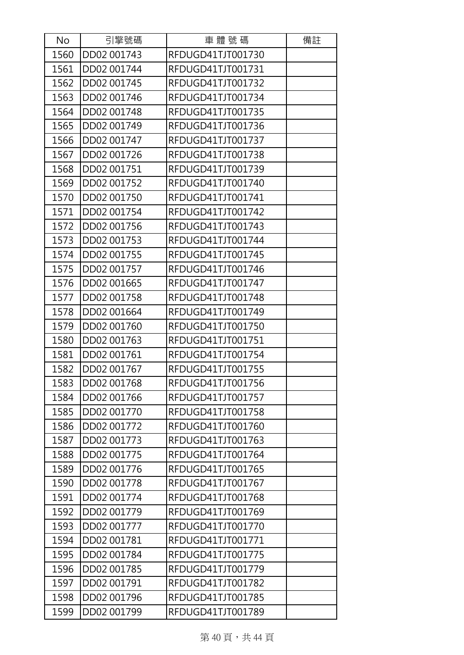| No   | 引擎號碼        | 車體號碼              | 備註 |
|------|-------------|-------------------|----|
| 1560 | DD02 001743 | RFDUGD41TJT001730 |    |
| 1561 | DD02 001744 | RFDUGD41TJT001731 |    |
| 1562 | DD02 001745 | RFDUGD41TJT001732 |    |
| 1563 | DD02 001746 | RFDUGD41TJT001734 |    |
| 1564 | DD02 001748 | RFDUGD41TJT001735 |    |
| 1565 | DD02 001749 | RFDUGD41TJT001736 |    |
| 1566 | DD02 001747 | RFDUGD41TJT001737 |    |
| 1567 | DD02 001726 | RFDUGD41TJT001738 |    |
| 1568 | DD02 001751 | RFDUGD41TJT001739 |    |
| 1569 | DD02 001752 | RFDUGD41TJT001740 |    |
| 1570 | DD02 001750 | RFDUGD41TJT001741 |    |
| 1571 | DD02 001754 | RFDUGD41TJT001742 |    |
| 1572 | DD02 001756 | RFDUGD41TJT001743 |    |
| 1573 | DD02 001753 | RFDUGD41TJT001744 |    |
| 1574 | DD02 001755 | RFDUGD41TJT001745 |    |
| 1575 | DD02 001757 | RFDUGD41TJT001746 |    |
| 1576 | DD02 001665 | RFDUGD41TJT001747 |    |
| 1577 | DD02 001758 | RFDUGD41TJT001748 |    |
| 1578 | DD02 001664 | RFDUGD41TJT001749 |    |
| 1579 | DD02 001760 | RFDUGD41TJT001750 |    |
| 1580 | DD02 001763 | RFDUGD41TJT001751 |    |
| 1581 | DD02 001761 | RFDUGD41TJT001754 |    |
| 1582 | DD02 001767 | RFDUGD41TJT001755 |    |
| 1583 | DD02 001768 | RFDUGD41TJT001756 |    |
| 1584 | DD02 001766 | RFDUGD41TJT001757 |    |
| 1585 | DD02 001770 | RFDUGD41TJT001758 |    |
| 1586 | DD02 001772 | RFDUGD41TJT001760 |    |
| 1587 | DD02 001773 | RFDUGD41TJT001763 |    |
| 1588 | DD02 001775 | RFDUGD41TJT001764 |    |
| 1589 | DD02 001776 | RFDUGD41TJT001765 |    |
| 1590 | DD02 001778 | RFDUGD41TJT001767 |    |
| 1591 | DD02 001774 | RFDUGD41TJT001768 |    |
| 1592 | DD02 001779 | RFDUGD41TJT001769 |    |
| 1593 | DD02 001777 | RFDUGD41TJT001770 |    |
| 1594 | DD02 001781 | RFDUGD41TJT001771 |    |
| 1595 | DD02 001784 | RFDUGD41TJT001775 |    |
| 1596 | DD02 001785 | RFDUGD41TJT001779 |    |
| 1597 | DD02 001791 | RFDUGD41TJT001782 |    |
| 1598 | DD02 001796 | RFDUGD41TJT001785 |    |
| 1599 | DD02 001799 | RFDUGD41TJT001789 |    |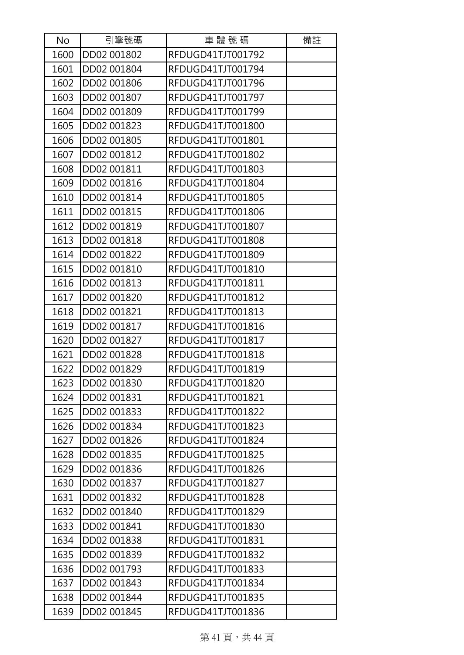| No   | 引擎號碼        | 車體號碼              | 備註 |
|------|-------------|-------------------|----|
| 1600 | DD02 001802 | RFDUGD41TJT001792 |    |
| 1601 | DD02 001804 | RFDUGD41TJT001794 |    |
| 1602 | DD02 001806 | RFDUGD41TJT001796 |    |
| 1603 | DD02 001807 | RFDUGD41TJT001797 |    |
| 1604 | DD02 001809 | RFDUGD41TJT001799 |    |
| 1605 | DD02 001823 | RFDUGD41TJT001800 |    |
| 1606 | DD02 001805 | RFDUGD41TJT001801 |    |
| 1607 | DD02 001812 | RFDUGD41TJT001802 |    |
| 1608 | DD02 001811 | RFDUGD41TJT001803 |    |
| 1609 | DD02 001816 | RFDUGD41TJT001804 |    |
| 1610 | DD02 001814 | RFDUGD41TJT001805 |    |
| 1611 | DD02 001815 | RFDUGD41TJT001806 |    |
| 1612 | DD02 001819 | RFDUGD41TJT001807 |    |
| 1613 | DD02 001818 | RFDUGD41TJT001808 |    |
| 1614 | DD02 001822 | RFDUGD41TJT001809 |    |
| 1615 | DD02 001810 | RFDUGD41TJT001810 |    |
| 1616 | DD02 001813 | RFDUGD41TJT001811 |    |
| 1617 | DD02 001820 | RFDUGD41TJT001812 |    |
| 1618 | DD02 001821 | RFDUGD41TJT001813 |    |
| 1619 | DD02 001817 | RFDUGD41TJT001816 |    |
| 1620 | DD02 001827 | RFDUGD41TJT001817 |    |
| 1621 | DD02 001828 | RFDUGD41TJT001818 |    |
| 1622 | DD02 001829 | RFDUGD41TJT001819 |    |
| 1623 | DD02 001830 | RFDUGD41TJT001820 |    |
| 1624 | DD02 001831 | RFDUGD41TJT001821 |    |
| 1625 | DD02 001833 | RFDUGD41TJT001822 |    |
| 1626 | DD02 001834 | RFDUGD41TJT001823 |    |
| 1627 | DD02 001826 | RFDUGD41TJT001824 |    |
| 1628 | DD02 001835 | RFDUGD41TJT001825 |    |
| 1629 | DD02 001836 | RFDUGD41TJT001826 |    |
| 1630 | DD02 001837 | RFDUGD41TJT001827 |    |
| 1631 | DD02 001832 | RFDUGD41TJT001828 |    |
| 1632 | DD02 001840 | RFDUGD41TJT001829 |    |
| 1633 | DD02 001841 | RFDUGD41TJT001830 |    |
| 1634 | DD02 001838 | RFDUGD41TJT001831 |    |
| 1635 | DD02 001839 | RFDUGD41TJT001832 |    |
| 1636 | DD02 001793 | RFDUGD41TJT001833 |    |
| 1637 | DD02 001843 | RFDUGD41TJT001834 |    |
| 1638 | DD02 001844 | RFDUGD41TJT001835 |    |
| 1639 | DD02 001845 | RFDUGD41TJT001836 |    |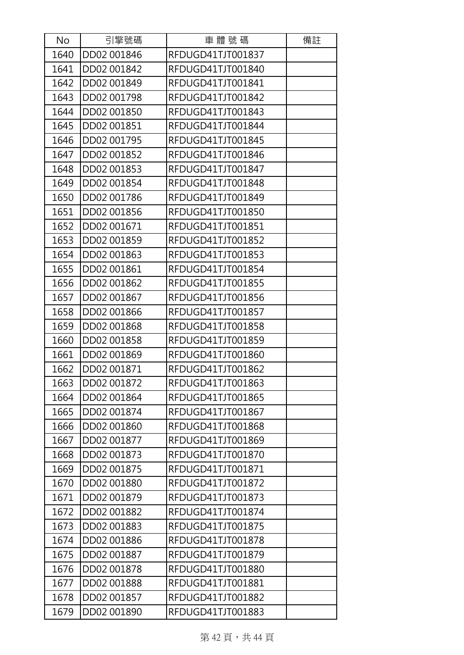| No   | 引擎號碼        | 車體號碼              | 備註 |
|------|-------------|-------------------|----|
| 1640 | DD02 001846 | RFDUGD41TJT001837 |    |
| 1641 | DD02 001842 | RFDUGD41TJT001840 |    |
| 1642 | DD02 001849 | RFDUGD41TJT001841 |    |
| 1643 | DD02 001798 | RFDUGD41TJT001842 |    |
| 1644 | DD02 001850 | RFDUGD41TJT001843 |    |
| 1645 | DD02 001851 | RFDUGD41TJT001844 |    |
| 1646 | DD02 001795 | RFDUGD41TJT001845 |    |
| 1647 | DD02 001852 | RFDUGD41TJT001846 |    |
| 1648 | DD02 001853 | RFDUGD41TJT001847 |    |
| 1649 | DD02 001854 | RFDUGD41TJT001848 |    |
| 1650 | DD02 001786 | RFDUGD41TJT001849 |    |
| 1651 | DD02 001856 | RFDUGD41TJT001850 |    |
| 1652 | DD02 001671 | RFDUGD41TJT001851 |    |
| 1653 | DD02 001859 | RFDUGD41TJT001852 |    |
| 1654 | DD02 001863 | RFDUGD41TJT001853 |    |
| 1655 | DD02 001861 | RFDUGD41TJT001854 |    |
| 1656 | DD02 001862 | RFDUGD41TJT001855 |    |
| 1657 | DD02 001867 | RFDUGD41TJT001856 |    |
| 1658 | DD02 001866 | RFDUGD41TJT001857 |    |
| 1659 | DD02 001868 | RFDUGD41TJT001858 |    |
| 1660 | DD02 001858 | RFDUGD41TJT001859 |    |
| 1661 | DD02 001869 | RFDUGD41TJT001860 |    |
| 1662 | DD02 001871 | RFDUGD41TJT001862 |    |
| 1663 | DD02 001872 | RFDUGD41TJT001863 |    |
| 1664 | DD02 001864 | RFDUGD41TJT001865 |    |
| 1665 | DD02 001874 | RFDUGD41TJT001867 |    |
| 1666 | DD02 001860 | RFDUGD41TJT001868 |    |
| 1667 | DD02 001877 | RFDUGD41TJT001869 |    |
| 1668 | DD02 001873 | RFDUGD41TJT001870 |    |
| 1669 | DD02 001875 | RFDUGD41TJT001871 |    |
| 1670 | DD02 001880 | RFDUGD41TJT001872 |    |
| 1671 | DD02 001879 | RFDUGD41TJT001873 |    |
| 1672 | DD02 001882 | RFDUGD41TJT001874 |    |
| 1673 | DD02 001883 | RFDUGD41TJT001875 |    |
| 1674 | DD02 001886 | RFDUGD41TJT001878 |    |
| 1675 | DD02 001887 | RFDUGD41TJT001879 |    |
| 1676 | DD02 001878 | RFDUGD41TJT001880 |    |
| 1677 | DD02 001888 | RFDUGD41TJT001881 |    |
| 1678 | DD02 001857 | RFDUGD41TJT001882 |    |
| 1679 | DD02 001890 | RFDUGD41TJT001883 |    |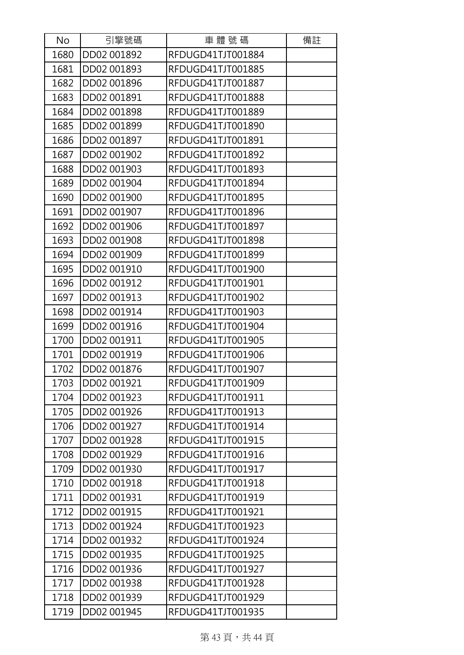| No   | 引擎號碼        | 車體號碼              | 備註 |
|------|-------------|-------------------|----|
| 1680 | DD02 001892 | RFDUGD41TJT001884 |    |
| 1681 | DD02 001893 | RFDUGD41TJT001885 |    |
| 1682 | DD02 001896 | RFDUGD41TJT001887 |    |
| 1683 | DD02 001891 | RFDUGD41TJT001888 |    |
| 1684 | DD02 001898 | RFDUGD41TJT001889 |    |
| 1685 | DD02 001899 | RFDUGD41TJT001890 |    |
| 1686 | DD02 001897 | RFDUGD41TJT001891 |    |
| 1687 | DD02 001902 | RFDUGD41TJT001892 |    |
| 1688 | DD02 001903 | RFDUGD41TJT001893 |    |
| 1689 | DD02 001904 | RFDUGD41TJT001894 |    |
| 1690 | DD02 001900 | RFDUGD41TJT001895 |    |
| 1691 | DD02 001907 | RFDUGD41TJT001896 |    |
| 1692 | DD02 001906 | RFDUGD41TJT001897 |    |
| 1693 | DD02 001908 | RFDUGD41TJT001898 |    |
| 1694 | DD02 001909 | RFDUGD41TJT001899 |    |
| 1695 | DD02 001910 | RFDUGD41TJT001900 |    |
| 1696 | DD02 001912 | RFDUGD41TJT001901 |    |
| 1697 | DD02 001913 | RFDUGD41TJT001902 |    |
| 1698 | DD02 001914 | RFDUGD41TJT001903 |    |
| 1699 | DD02 001916 | RFDUGD41TJT001904 |    |
| 1700 | DD02 001911 | RFDUGD41TJT001905 |    |
| 1701 | DD02 001919 | RFDUGD41TJT001906 |    |
| 1702 | DD02 001876 | RFDUGD41TJT001907 |    |
| 1703 | DD02 001921 | RFDUGD41TJT001909 |    |
| 1704 | DD02 001923 | RFDUGD41TJT001911 |    |
| 1705 | DD02 001926 | RFDUGD41TJT001913 |    |
| 1706 | DD02 001927 | RFDUGD41TJT001914 |    |
| 1707 | DD02 001928 | RFDUGD41TJT001915 |    |
| 1708 | DD02 001929 | RFDUGD41TJT001916 |    |
| 1709 | DD02 001930 | RFDUGD41TJT001917 |    |
| 1710 | DD02 001918 | RFDUGD41TJT001918 |    |
| 1711 | DD02 001931 | RFDUGD41TJT001919 |    |
| 1712 | DD02 001915 | RFDUGD41TJT001921 |    |
| 1713 | DD02 001924 | RFDUGD41TJT001923 |    |
| 1714 | DD02 001932 | RFDUGD41TJT001924 |    |
| 1715 | DD02 001935 | RFDUGD41TJT001925 |    |
| 1716 | DD02 001936 | RFDUGD41TJT001927 |    |
| 1717 | DD02 001938 | RFDUGD41TJT001928 |    |
| 1718 | DD02 001939 | RFDUGD41TJT001929 |    |
| 1719 | DD02 001945 | RFDUGD41TJT001935 |    |